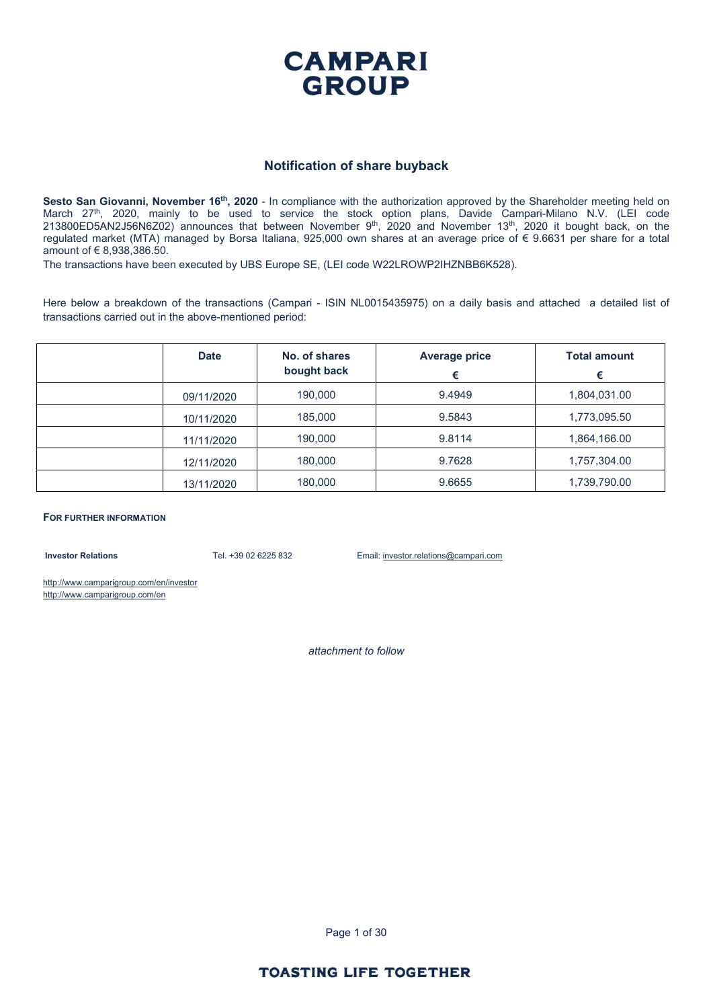

#### **Notification of share buyback**

**Sesto San Giovanni, November 16th, 2020** - In compliance with the authorization approved by the Shareholder meeting held on March 27<sup>th</sup>, 2020, mainly to be used to service the stock option plans, Davide Campari-Milano N.V. (LEI code  $213800ED5AN2J56NGZ02$ ) announces that between November  $9<sup>th</sup>$ , 2020 and November 13<sup>th</sup>, 2020 it bought back, on the regulated market (MTA) managed by Borsa Italiana, 925,000 own shares at an average price of € 9.6631 per share for a total amount of € 8,938,386.50.

The transactions have been executed by UBS Europe SE, (LEI code W22LROWP2IHZNBB6K528).

Here below a breakdown of the transactions (Campari - ISIN NL0015435975) on a daily basis and attached a detailed list of transactions carried out in the above-mentioned period:

| <b>Date</b> | No. of shares<br>bought back | <b>Average price</b><br>€ | <b>Total amount</b><br>€ |
|-------------|------------------------------|---------------------------|--------------------------|
| 09/11/2020  | 190,000                      | 9.4949                    | 1,804,031.00             |
| 10/11/2020  | 185,000                      | 9.5843                    | 1,773,095.50             |
| 11/11/2020  | 190,000                      | 9.8114                    | 1,864,166.00             |
| 12/11/2020  | 180,000                      | 9.7628                    | 1,757,304.00             |
| 13/11/2020  | 180,000                      | 9.6655                    | 1,739,790.00             |

**FOR FURTHER INFORMATION**

**Investor Relations** Tel. +39 02 6225 832 Email: investor.relations@campari.com

http://www.camparigroup.com/en/investor http://www.camparigroup.com/en

*attachment to follow* 

Page 1 of 30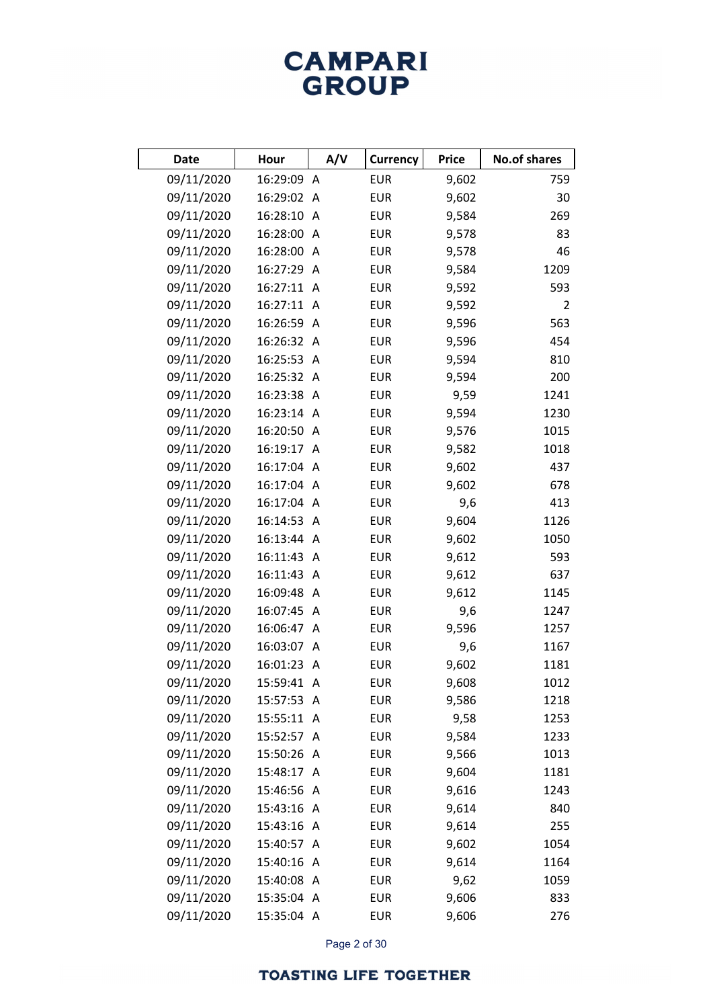# **CAMPARI**<br>GROUP

| <b>Date</b> | Hour       | A/V | <b>Currency</b> | <b>Price</b> | <b>No.of shares</b> |
|-------------|------------|-----|-----------------|--------------|---------------------|
| 09/11/2020  | 16:29:09 A |     | <b>EUR</b>      | 9,602        | 759                 |
| 09/11/2020  | 16:29:02 A |     | <b>EUR</b>      | 9,602        | 30                  |
| 09/11/2020  | 16:28:10 A |     | <b>EUR</b>      | 9,584        | 269                 |
| 09/11/2020  | 16:28:00 A |     | <b>EUR</b>      | 9,578        | 83                  |
| 09/11/2020  | 16:28:00 A |     | <b>EUR</b>      | 9,578        | 46                  |
| 09/11/2020  | 16:27:29 A |     | <b>EUR</b>      | 9,584        | 1209                |
| 09/11/2020  | 16:27:11 A |     | <b>EUR</b>      | 9,592        | 593                 |
| 09/11/2020  | 16:27:11 A |     | <b>EUR</b>      | 9,592        | $\overline{2}$      |
| 09/11/2020  | 16:26:59 A |     | <b>EUR</b>      | 9,596        | 563                 |
| 09/11/2020  | 16:26:32 A |     | <b>EUR</b>      | 9,596        | 454                 |
| 09/11/2020  | 16:25:53 A |     | <b>EUR</b>      | 9,594        | 810                 |
| 09/11/2020  | 16:25:32 A |     | <b>EUR</b>      | 9,594        | 200                 |
| 09/11/2020  | 16:23:38 A |     | <b>EUR</b>      | 9,59         | 1241                |
| 09/11/2020  | 16:23:14 A |     | <b>EUR</b>      | 9,594        | 1230                |
| 09/11/2020  | 16:20:50 A |     | <b>EUR</b>      | 9,576        | 1015                |
| 09/11/2020  | 16:19:17 A |     | <b>EUR</b>      | 9,582        | 1018                |
| 09/11/2020  | 16:17:04 A |     | <b>EUR</b>      | 9,602        | 437                 |
| 09/11/2020  | 16:17:04 A |     | <b>EUR</b>      | 9,602        | 678                 |
| 09/11/2020  | 16:17:04 A |     | <b>EUR</b>      | 9,6          | 413                 |
| 09/11/2020  | 16:14:53 A |     | <b>EUR</b>      | 9,604        | 1126                |
| 09/11/2020  | 16:13:44 A |     | <b>EUR</b>      | 9,602        | 1050                |
| 09/11/2020  | 16:11:43 A |     | <b>EUR</b>      | 9,612        | 593                 |
| 09/11/2020  | 16:11:43 A |     | <b>EUR</b>      | 9,612        | 637                 |
| 09/11/2020  | 16:09:48 A |     | <b>EUR</b>      | 9,612        | 1145                |
| 09/11/2020  | 16:07:45 A |     | <b>EUR</b>      | 9,6          | 1247                |
| 09/11/2020  | 16:06:47 A |     | <b>EUR</b>      | 9,596        | 1257                |
| 09/11/2020  | 16:03:07 A |     | <b>EUR</b>      | 9,6          | 1167                |
| 09/11/2020  | 16:01:23 A |     | <b>EUR</b>      | 9,602        | 1181                |
| 09/11/2020  | 15:59:41 A |     | <b>EUR</b>      | 9,608        | 1012                |
| 09/11/2020  | 15:57:53 A |     | <b>EUR</b>      | 9,586        | 1218                |
| 09/11/2020  | 15:55:11 A |     | <b>EUR</b>      | 9,58         | 1253                |
| 09/11/2020  | 15:52:57 A |     | <b>EUR</b>      | 9,584        | 1233                |
| 09/11/2020  | 15:50:26 A |     | <b>EUR</b>      | 9,566        | 1013                |
| 09/11/2020  | 15:48:17 A |     | <b>EUR</b>      | 9,604        | 1181                |
| 09/11/2020  | 15:46:56 A |     | <b>EUR</b>      | 9,616        | 1243                |
| 09/11/2020  | 15:43:16 A |     | <b>EUR</b>      | 9,614        | 840                 |
| 09/11/2020  | 15:43:16 A |     | <b>EUR</b>      | 9,614        | 255                 |
| 09/11/2020  | 15:40:57 A |     | <b>EUR</b>      | 9,602        | 1054                |
| 09/11/2020  | 15:40:16 A |     | <b>EUR</b>      | 9,614        | 1164                |
| 09/11/2020  | 15:40:08 A |     | <b>EUR</b>      | 9,62         | 1059                |
| 09/11/2020  | 15:35:04 A |     | <b>EUR</b>      | 9,606        | 833                 |
| 09/11/2020  | 15:35:04 A |     | <b>EUR</b>      | 9,606        | 276                 |

Page 2 of 30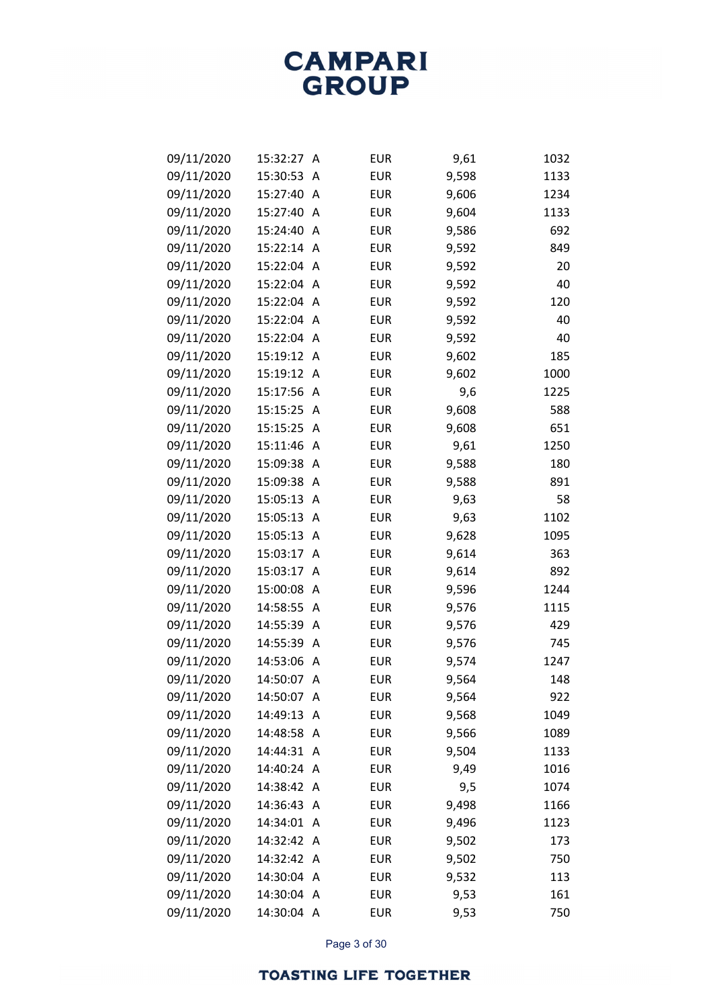| 09/11/2020 | 15:32:27   | A | <b>EUR</b> | 9,61  | 1032 |
|------------|------------|---|------------|-------|------|
| 09/11/2020 | 15:30:53   | A | <b>EUR</b> | 9,598 | 1133 |
| 09/11/2020 | 15:27:40   | A | <b>EUR</b> | 9,606 | 1234 |
| 09/11/2020 | 15:27:40   | A | <b>EUR</b> | 9,604 | 1133 |
| 09/11/2020 | 15:24:40   | A | <b>EUR</b> | 9,586 | 692  |
| 09/11/2020 | 15:22:14   | A | <b>EUR</b> | 9,592 | 849  |
| 09/11/2020 | 15:22:04   | A | <b>EUR</b> | 9,592 | 20   |
| 09/11/2020 | 15:22:04   | A | <b>EUR</b> | 9,592 | 40   |
| 09/11/2020 | 15:22:04   | A | <b>EUR</b> | 9,592 | 120  |
| 09/11/2020 | 15:22:04   | A | <b>EUR</b> | 9,592 | 40   |
| 09/11/2020 | 15:22:04   | A | <b>EUR</b> | 9,592 | 40   |
| 09/11/2020 | 15:19:12   | A | <b>EUR</b> | 9,602 | 185  |
| 09/11/2020 | 15:19:12   | A | <b>EUR</b> | 9,602 | 1000 |
| 09/11/2020 | 15:17:56   | A | <b>EUR</b> | 9,6   | 1225 |
| 09/11/2020 | 15:15:25   | A | <b>EUR</b> | 9,608 | 588  |
| 09/11/2020 | 15:15:25   | A | <b>EUR</b> | 9,608 | 651  |
| 09/11/2020 | 15:11:46   | A | <b>EUR</b> | 9,61  | 1250 |
| 09/11/2020 | 15:09:38   | A | <b>EUR</b> | 9,588 | 180  |
| 09/11/2020 | 15:09:38   | A | <b>EUR</b> | 9,588 | 891  |
| 09/11/2020 | 15:05:13   | A | <b>EUR</b> | 9,63  | 58   |
| 09/11/2020 | 15:05:13   | A | <b>EUR</b> | 9,63  | 1102 |
| 09/11/2020 | 15:05:13   | A | <b>EUR</b> | 9,628 | 1095 |
| 09/11/2020 | 15:03:17   | A | <b>EUR</b> | 9,614 | 363  |
| 09/11/2020 | 15:03:17   | A | <b>EUR</b> | 9,614 | 892  |
| 09/11/2020 | 15:00:08   | A | <b>EUR</b> | 9,596 | 1244 |
| 09/11/2020 | 14:58:55   | A | <b>EUR</b> | 9,576 | 1115 |
| 09/11/2020 | 14:55:39   | A | <b>EUR</b> | 9,576 | 429  |
| 09/11/2020 | 14:55:39   | A | <b>EUR</b> | 9,576 | 745  |
| 09/11/2020 | 14:53:06   | A | <b>EUR</b> | 9,574 | 1247 |
| 09/11/2020 | 14:50:07   | A | <b>EUR</b> | 9,564 | 148  |
| 09/11/2020 | 14:50:07   | A | <b>EUR</b> | 9,564 | 922  |
| 09/11/2020 | 14:49:13   | A | <b>EUR</b> | 9,568 | 1049 |
| 09/11/2020 | 14:48:58   | A | <b>EUR</b> | 9,566 | 1089 |
| 09/11/2020 | 14:44:31   | A | <b>EUR</b> | 9,504 | 1133 |
| 09/11/2020 | 14:40:24   | A | <b>EUR</b> | 9,49  | 1016 |
| 09/11/2020 | 14:38:42   | A | <b>EUR</b> | 9,5   | 1074 |
| 09/11/2020 | 14:36:43   | A | <b>EUR</b> | 9,498 | 1166 |
| 09/11/2020 | 14:34:01   | A | <b>EUR</b> | 9,496 | 1123 |
| 09/11/2020 | 14:32:42   | A | <b>EUR</b> | 9,502 | 173  |
| 09/11/2020 | 14:32:42   | A | <b>EUR</b> | 9,502 | 750  |
| 09/11/2020 | 14:30:04   | A | <b>EUR</b> | 9,532 | 113  |
| 09/11/2020 | 14:30:04   | A | <b>EUR</b> | 9,53  | 161  |
| 09/11/2020 | 14:30:04 A |   | <b>EUR</b> | 9,53  | 750  |

Page 3 of 30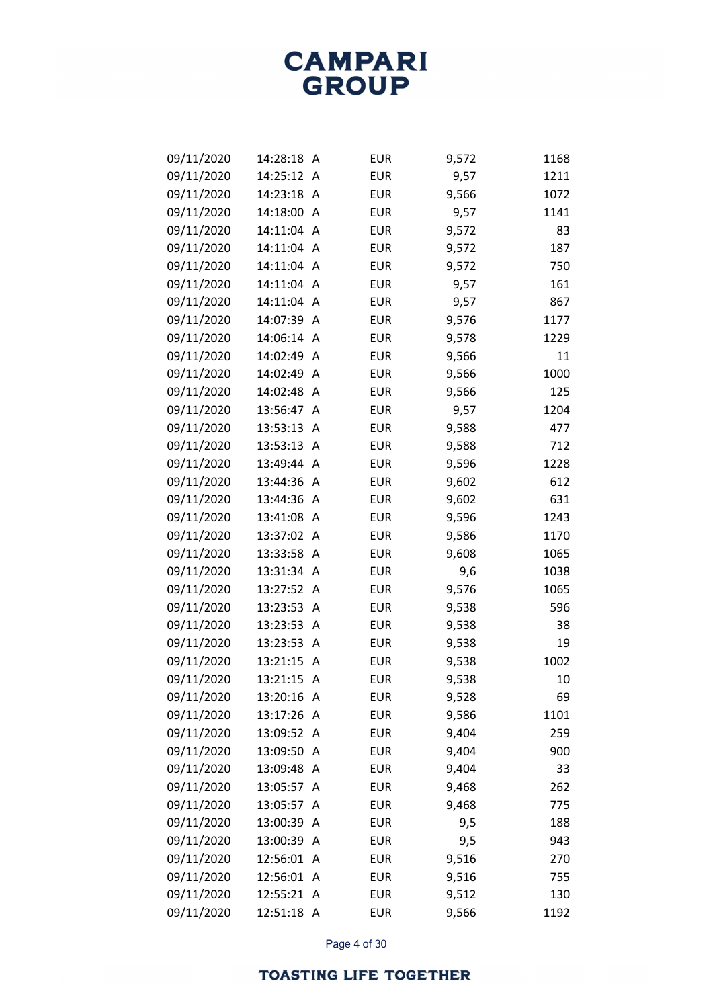| 09/11/2020 | 14:28:18   | A | <b>EUR</b> | 9,572 | 1168 |
|------------|------------|---|------------|-------|------|
| 09/11/2020 | 14:25:12   | A | <b>EUR</b> | 9,57  | 1211 |
| 09/11/2020 | 14:23:18   | A | <b>EUR</b> | 9,566 | 1072 |
| 09/11/2020 | 14:18:00   | A | <b>EUR</b> | 9,57  | 1141 |
| 09/11/2020 | 14:11:04   | Α | <b>EUR</b> | 9,572 | 83   |
| 09/11/2020 | 14:11:04   | A | <b>EUR</b> | 9,572 | 187  |
| 09/11/2020 | 14:11:04   | A | <b>EUR</b> | 9,572 | 750  |
| 09/11/2020 | 14:11:04   | A | <b>EUR</b> | 9,57  | 161  |
| 09/11/2020 | 14:11:04   | Α | <b>EUR</b> | 9,57  | 867  |
| 09/11/2020 | 14:07:39   | A | <b>EUR</b> | 9,576 | 1177 |
| 09/11/2020 | 14:06:14   | A | <b>EUR</b> | 9,578 | 1229 |
| 09/11/2020 | 14:02:49   | A | <b>EUR</b> | 9,566 | 11   |
| 09/11/2020 | 14:02:49   | A | <b>EUR</b> | 9,566 | 1000 |
| 09/11/2020 | 14:02:48   | A | <b>EUR</b> | 9,566 | 125  |
| 09/11/2020 | 13:56:47   | A | <b>EUR</b> | 9,57  | 1204 |
| 09/11/2020 | 13:53:13   | A | <b>EUR</b> | 9,588 | 477  |
| 09/11/2020 | 13:53:13   | A | <b>EUR</b> | 9,588 | 712  |
| 09/11/2020 | 13:49:44   | A | <b>EUR</b> | 9,596 | 1228 |
| 09/11/2020 | 13:44:36   | A | <b>EUR</b> | 9,602 | 612  |
| 09/11/2020 | 13:44:36   | A | <b>EUR</b> | 9,602 | 631  |
| 09/11/2020 | 13:41:08   | A | <b>EUR</b> | 9,596 | 1243 |
| 09/11/2020 | 13:37:02   | A | <b>EUR</b> | 9,586 | 1170 |
| 09/11/2020 | 13:33:58   | A | <b>EUR</b> | 9,608 | 1065 |
| 09/11/2020 | 13:31:34   | A | <b>EUR</b> | 9,6   | 1038 |
| 09/11/2020 | 13:27:52   | A | <b>EUR</b> | 9,576 | 1065 |
| 09/11/2020 | 13:23:53   | A | <b>EUR</b> | 9,538 | 596  |
| 09/11/2020 | 13:23:53   | A | <b>EUR</b> | 9,538 | 38   |
| 09/11/2020 | 13:23:53   | A | <b>EUR</b> | 9,538 | 19   |
| 09/11/2020 | 13:21:15   | A | <b>EUR</b> | 9,538 | 1002 |
| 09/11/2020 | 13:21:15   | A | <b>EUR</b> | 9,538 | 10   |
| 09/11/2020 | 13:20:16 A |   | <b>EUR</b> | 9,528 | 69   |
| 09/11/2020 | 13:17:26   | A | <b>EUR</b> | 9,586 | 1101 |
| 09/11/2020 | 13:09:52   | A | <b>EUR</b> | 9,404 | 259  |
| 09/11/2020 | 13:09:50   | A | <b>EUR</b> | 9,404 | 900  |
| 09/11/2020 | 13:09:48   | A | <b>EUR</b> | 9,404 | 33   |
| 09/11/2020 | 13:05:57   | A | <b>EUR</b> | 9,468 | 262  |
| 09/11/2020 | 13:05:57   | A | <b>EUR</b> | 9,468 | 775  |
| 09/11/2020 | 13:00:39   | A | <b>EUR</b> | 9,5   | 188  |
| 09/11/2020 | 13:00:39   | A | <b>EUR</b> | 9,5   | 943  |
| 09/11/2020 | 12:56:01   | A | <b>EUR</b> | 9,516 | 270  |
| 09/11/2020 | 12:56:01   | A | <b>EUR</b> | 9,516 | 755  |
| 09/11/2020 | 12:55:21   | A | <b>EUR</b> | 9,512 | 130  |
| 09/11/2020 | 12:51:18 A |   | <b>EUR</b> | 9,566 | 1192 |

Page 4 of 30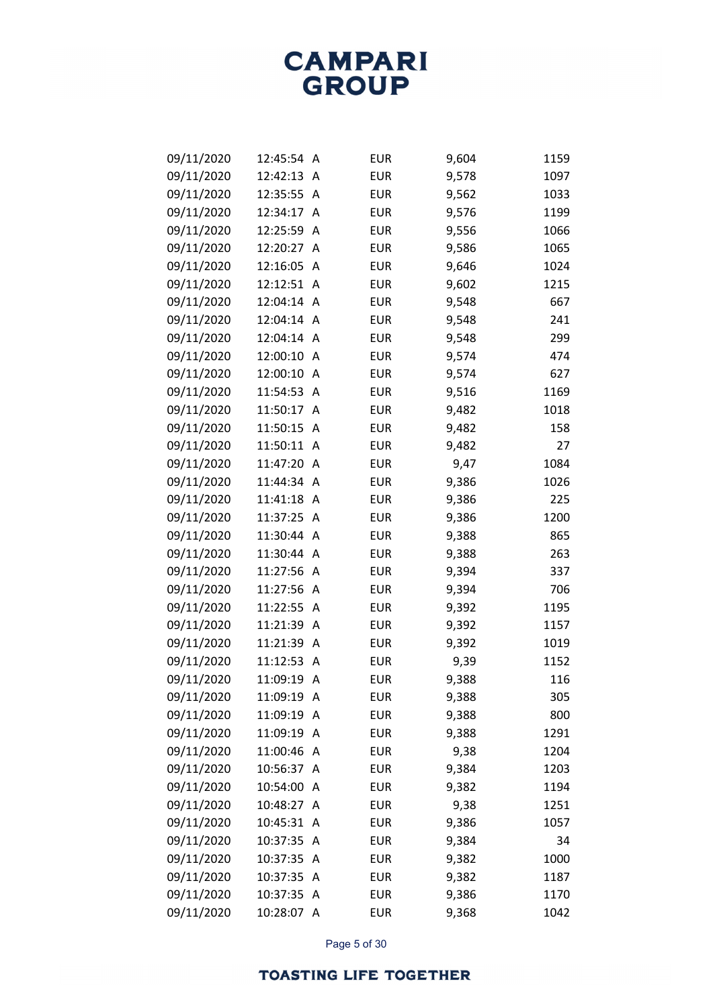| 09/11/2020 | 12:45:54 | Α        | <b>EUR</b> | 9,604 | 1159 |
|------------|----------|----------|------------|-------|------|
| 09/11/2020 | 12:42:13 | A        | <b>EUR</b> | 9,578 | 1097 |
| 09/11/2020 | 12:35:55 | Α        | <b>EUR</b> | 9,562 | 1033 |
| 09/11/2020 | 12:34:17 | Α        | <b>EUR</b> | 9,576 | 1199 |
| 09/11/2020 | 12:25:59 | A        | <b>EUR</b> | 9,556 | 1066 |
| 09/11/2020 | 12:20:27 | A        | <b>EUR</b> | 9,586 | 1065 |
| 09/11/2020 | 12:16:05 | A        | <b>EUR</b> | 9,646 | 1024 |
| 09/11/2020 | 12:12:51 | $\wedge$ | <b>EUR</b> | 9,602 | 1215 |
| 09/11/2020 | 12:04:14 | A        | <b>EUR</b> | 9,548 | 667  |
| 09/11/2020 | 12:04:14 | A        | <b>EUR</b> | 9,548 | 241  |
| 09/11/2020 | 12:04:14 | A        | <b>EUR</b> | 9,548 | 299  |
| 09/11/2020 | 12:00:10 | Α        | <b>EUR</b> | 9,574 | 474  |
| 09/11/2020 | 12:00:10 | A        | <b>EUR</b> | 9,574 | 627  |
| 09/11/2020 | 11:54:53 | A        | <b>EUR</b> | 9,516 | 1169 |
| 09/11/2020 | 11:50:17 | Α        | <b>EUR</b> | 9,482 | 1018 |
| 09/11/2020 | 11:50:15 | Α        | <b>EUR</b> | 9,482 | 158  |
| 09/11/2020 | 11:50:11 | A        | <b>EUR</b> | 9,482 | 27   |
| 09/11/2020 | 11:47:20 | A        | <b>EUR</b> | 9,47  | 1084 |
| 09/11/2020 | 11:44:34 | A        | <b>EUR</b> | 9,386 | 1026 |
| 09/11/2020 | 11:41:18 | Α        | <b>EUR</b> | 9,386 | 225  |
| 09/11/2020 | 11:37:25 | A        | <b>EUR</b> | 9,386 | 1200 |
| 09/11/2020 | 11:30:44 | A        | <b>EUR</b> | 9,388 | 865  |
| 09/11/2020 | 11:30:44 | Α        | <b>EUR</b> | 9,388 | 263  |
| 09/11/2020 | 11:27:56 | Α        | <b>EUR</b> | 9,394 | 337  |
| 09/11/2020 | 11:27:56 | A        | <b>EUR</b> | 9,394 | 706  |
| 09/11/2020 | 11:22:55 | A        | <b>EUR</b> | 9,392 | 1195 |
| 09/11/2020 | 11:21:39 | Α        | <b>EUR</b> | 9,392 | 1157 |
| 09/11/2020 | 11:21:39 | Α        | <b>EUR</b> | 9,392 | 1019 |
| 09/11/2020 | 11:12:53 | A        | <b>EUR</b> | 9,39  | 1152 |
| 09/11/2020 | 11:09:19 | Α        | <b>EUR</b> | 9,388 | 116  |
| 09/11/2020 | 11:09:19 | Α        | <b>EUR</b> | 9,388 | 305  |
| 09/11/2020 | 11:09:19 | Α        | <b>EUR</b> | 9,388 | 800  |
| 09/11/2020 | 11:09:19 | Α        | <b>EUR</b> | 9,388 | 1291 |
| 09/11/2020 | 11:00:46 | Α        | <b>EUR</b> | 9,38  | 1204 |
| 09/11/2020 | 10:56:37 | A        | <b>EUR</b> | 9,384 | 1203 |
| 09/11/2020 | 10:54:00 | Α        | <b>EUR</b> | 9,382 | 1194 |
| 09/11/2020 | 10:48:27 | Α        | <b>EUR</b> | 9,38  | 1251 |
| 09/11/2020 | 10:45:31 | A        | <b>EUR</b> | 9,386 | 1057 |
| 09/11/2020 | 10:37:35 | A        | <b>EUR</b> | 9,384 | 34   |
| 09/11/2020 | 10:37:35 | Α        | <b>EUR</b> | 9,382 | 1000 |
| 09/11/2020 | 10:37:35 | Α        | <b>EUR</b> | 9,382 | 1187 |
| 09/11/2020 | 10:37:35 | Α        | <b>EUR</b> | 9,386 | 1170 |
| 09/11/2020 | 10:28:07 | Α        | <b>EUR</b> | 9,368 | 1042 |

Page 5 of 30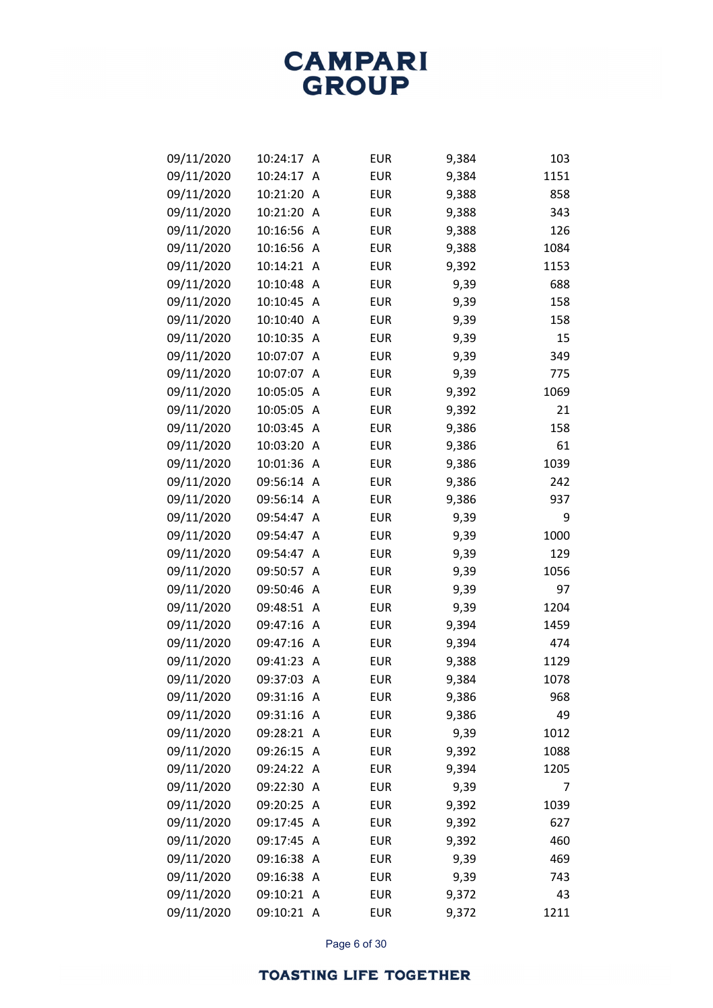| 09/11/2020 | 10:24:17   | A | <b>EUR</b> | 9,384 | 103  |
|------------|------------|---|------------|-------|------|
| 09/11/2020 | 10:24:17   | A | <b>EUR</b> | 9,384 | 1151 |
| 09/11/2020 | 10:21:20   | A | <b>EUR</b> | 9,388 | 858  |
| 09/11/2020 | 10:21:20   | A | <b>EUR</b> | 9,388 | 343  |
| 09/11/2020 | 10:16:56   | A | <b>EUR</b> | 9,388 | 126  |
| 09/11/2020 | 10:16:56   | A | <b>EUR</b> | 9,388 | 1084 |
| 09/11/2020 | 10:14:21   | A | <b>EUR</b> | 9,392 | 1153 |
| 09/11/2020 | 10:10:48   | A | <b>EUR</b> | 9,39  | 688  |
| 09/11/2020 | 10:10:45   | A | <b>EUR</b> | 9,39  | 158  |
| 09/11/2020 | 10:10:40   | A | <b>EUR</b> | 9,39  | 158  |
| 09/11/2020 | 10:10:35   | A | <b>EUR</b> | 9,39  | 15   |
| 09/11/2020 | 10:07:07   | A | <b>EUR</b> | 9,39  | 349  |
| 09/11/2020 | 10:07:07   | A | <b>EUR</b> | 9,39  | 775  |
| 09/11/2020 | 10:05:05   | A | <b>EUR</b> | 9,392 | 1069 |
| 09/11/2020 | 10:05:05   | Α | <b>EUR</b> | 9,392 | 21   |
| 09/11/2020 | 10:03:45   | A | <b>EUR</b> | 9,386 | 158  |
| 09/11/2020 | 10:03:20   | A | <b>EUR</b> | 9,386 | 61   |
| 09/11/2020 | 10:01:36   | A | <b>EUR</b> | 9,386 | 1039 |
| 09/11/2020 | 09:56:14   | A | <b>EUR</b> | 9,386 | 242  |
| 09/11/2020 | 09:56:14   | A | <b>EUR</b> | 9,386 | 937  |
| 09/11/2020 | 09:54:47   | A | <b>EUR</b> | 9,39  | 9    |
| 09/11/2020 | 09:54:47   | A | <b>EUR</b> | 9,39  | 1000 |
| 09/11/2020 | 09:54:47   | A | <b>EUR</b> | 9,39  | 129  |
| 09/11/2020 | 09:50:57   | A | <b>EUR</b> | 9,39  | 1056 |
| 09/11/2020 | 09:50:46   | A | <b>EUR</b> | 9,39  | 97   |
| 09/11/2020 | 09:48:51   | A | <b>EUR</b> | 9,39  | 1204 |
| 09/11/2020 | 09:47:16   | Α | <b>EUR</b> | 9,394 | 1459 |
| 09/11/2020 | 09:47:16   | Α | <b>EUR</b> | 9,394 | 474  |
| 09/11/2020 | 09:41:23   | A | <b>EUR</b> | 9,388 | 1129 |
| 09/11/2020 | 09:37:03   | Α | <b>EUR</b> | 9,384 | 1078 |
| 09/11/2020 | 09:31:16 A |   | <b>EUR</b> | 9,386 | 968  |
| 09/11/2020 | 09:31:16   | A | <b>EUR</b> | 9,386 | 49   |
| 09/11/2020 | 09:28:21   | A | <b>EUR</b> | 9,39  | 1012 |
| 09/11/2020 | 09:26:15   | A | <b>EUR</b> | 9,392 | 1088 |
| 09/11/2020 | 09:24:22   | A | <b>EUR</b> | 9,394 | 1205 |
| 09/11/2020 | 09:22:30   | A | <b>EUR</b> | 9,39  | 7    |
| 09/11/2020 | 09:20:25   | A | <b>EUR</b> | 9,392 | 1039 |
| 09/11/2020 | 09:17:45   | A | <b>EUR</b> | 9,392 | 627  |
| 09/11/2020 | 09:17:45   | A | <b>EUR</b> | 9,392 | 460  |
| 09/11/2020 | 09:16:38   | A | <b>EUR</b> | 9,39  | 469  |
| 09/11/2020 | 09:16:38   | A | <b>EUR</b> | 9,39  | 743  |
| 09/11/2020 | 09:10:21   | A | <b>EUR</b> | 9,372 | 43   |
| 09/11/2020 | 09:10:21 A |   | <b>EUR</b> | 9,372 | 1211 |

Page 6 of 30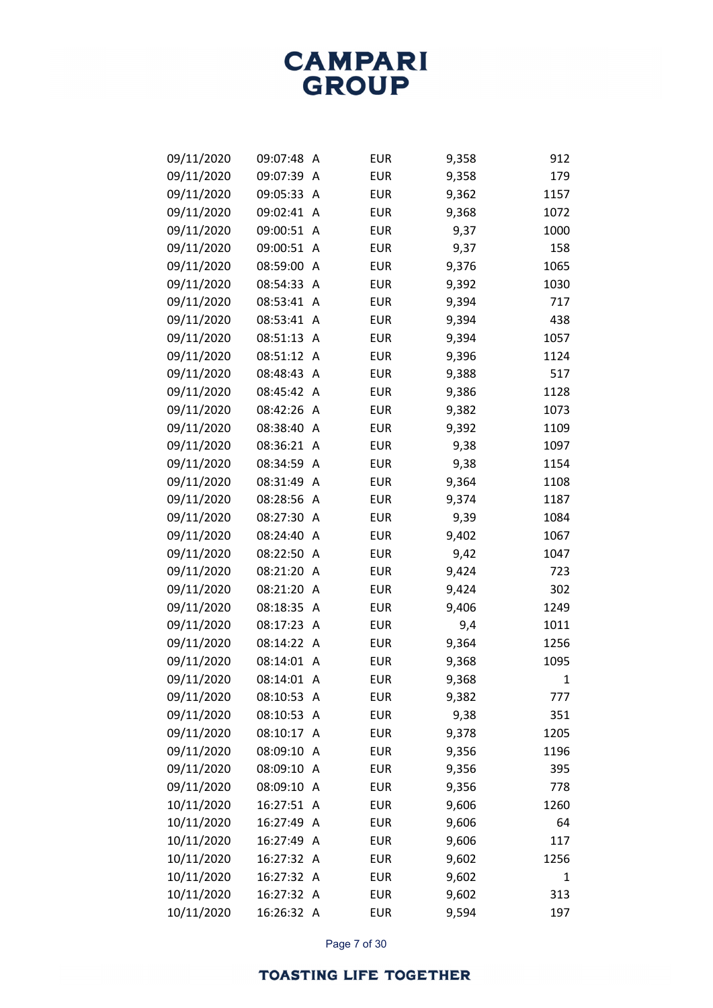| 09/11/2020 | 09:07:48   | A | <b>EUR</b> | 9,358 | 912  |
|------------|------------|---|------------|-------|------|
| 09/11/2020 | 09:07:39   | A | <b>EUR</b> | 9,358 | 179  |
| 09/11/2020 | 09:05:33   | Α | <b>EUR</b> | 9,362 | 1157 |
| 09/11/2020 | 09:02:41   | A | <b>EUR</b> | 9,368 | 1072 |
| 09/11/2020 | 09:00:51   | A | <b>EUR</b> | 9,37  | 1000 |
| 09/11/2020 | 09:00:51   | A | <b>EUR</b> | 9,37  | 158  |
| 09/11/2020 | 08:59:00   | A | <b>EUR</b> | 9,376 | 1065 |
| 09/11/2020 | 08:54:33   | A | <b>EUR</b> | 9,392 | 1030 |
| 09/11/2020 | 08:53:41   | A | <b>EUR</b> | 9,394 | 717  |
| 09/11/2020 | 08:53:41   | A | <b>EUR</b> | 9,394 | 438  |
| 09/11/2020 | 08:51:13   | A | <b>EUR</b> | 9,394 | 1057 |
| 09/11/2020 | 08:51:12   | A | <b>EUR</b> | 9,396 | 1124 |
| 09/11/2020 | 08:48:43   | Α | <b>EUR</b> | 9,388 | 517  |
| 09/11/2020 | 08:45:42   | A | <b>EUR</b> | 9,386 | 1128 |
| 09/11/2020 | 08:42:26   | A | <b>EUR</b> | 9,382 | 1073 |
| 09/11/2020 | 08:38:40   | A | <b>EUR</b> | 9,392 | 1109 |
| 09/11/2020 | 08:36:21   | A | <b>EUR</b> | 9,38  | 1097 |
| 09/11/2020 | 08:34:59   | A | <b>EUR</b> | 9,38  | 1154 |
| 09/11/2020 | 08:31:49   | A | <b>EUR</b> | 9,364 | 1108 |
| 09/11/2020 | 08:28:56   | A | <b>EUR</b> | 9,374 | 1187 |
| 09/11/2020 | 08:27:30   | A | <b>EUR</b> | 9,39  | 1084 |
| 09/11/2020 | 08:24:40   | A | <b>EUR</b> | 9,402 | 1067 |
| 09/11/2020 | 08:22:50   | A | <b>EUR</b> | 9,42  | 1047 |
| 09/11/2020 | 08:21:20   | A | <b>EUR</b> | 9,424 | 723  |
| 09/11/2020 | 08:21:20   | A | <b>EUR</b> | 9,424 | 302  |
| 09/11/2020 | 08:18:35   | A | <b>EUR</b> | 9,406 | 1249 |
| 09/11/2020 | 08:17:23   | A | <b>EUR</b> | 9,4   | 1011 |
| 09/11/2020 | 08:14:22   | A | <b>EUR</b> | 9,364 | 1256 |
| 09/11/2020 | 08:14:01   | A | <b>EUR</b> | 9,368 | 1095 |
| 09/11/2020 | 08:14:01   | A | <b>EUR</b> | 9,368 | 1    |
| 09/11/2020 | 08:10:53 A |   | <b>EUR</b> | 9,382 | 777  |
| 09/11/2020 | 08:10:53   | A | <b>EUR</b> | 9,38  | 351  |
| 09/11/2020 | 08:10:17   | A | <b>EUR</b> | 9,378 | 1205 |
| 09/11/2020 | 08:09:10   | A | <b>EUR</b> | 9,356 | 1196 |
| 09/11/2020 | 08:09:10   | A | <b>EUR</b> | 9,356 | 395  |
| 09/11/2020 | 08:09:10   | A | <b>EUR</b> | 9,356 | 778  |
| 10/11/2020 | 16:27:51   | A | <b>EUR</b> | 9,606 | 1260 |
| 10/11/2020 | 16:27:49   | A | <b>EUR</b> | 9,606 | 64   |
| 10/11/2020 | 16:27:49   | A | <b>EUR</b> | 9,606 | 117  |
| 10/11/2020 | 16:27:32   | A | <b>EUR</b> | 9,602 | 1256 |
| 10/11/2020 | 16:27:32   | A | <b>EUR</b> | 9,602 | 1    |
| 10/11/2020 | 16:27:32   | A | <b>EUR</b> | 9,602 | 313  |
| 10/11/2020 | 16:26:32 A |   | <b>EUR</b> | 9,594 | 197  |

Page 7 of 30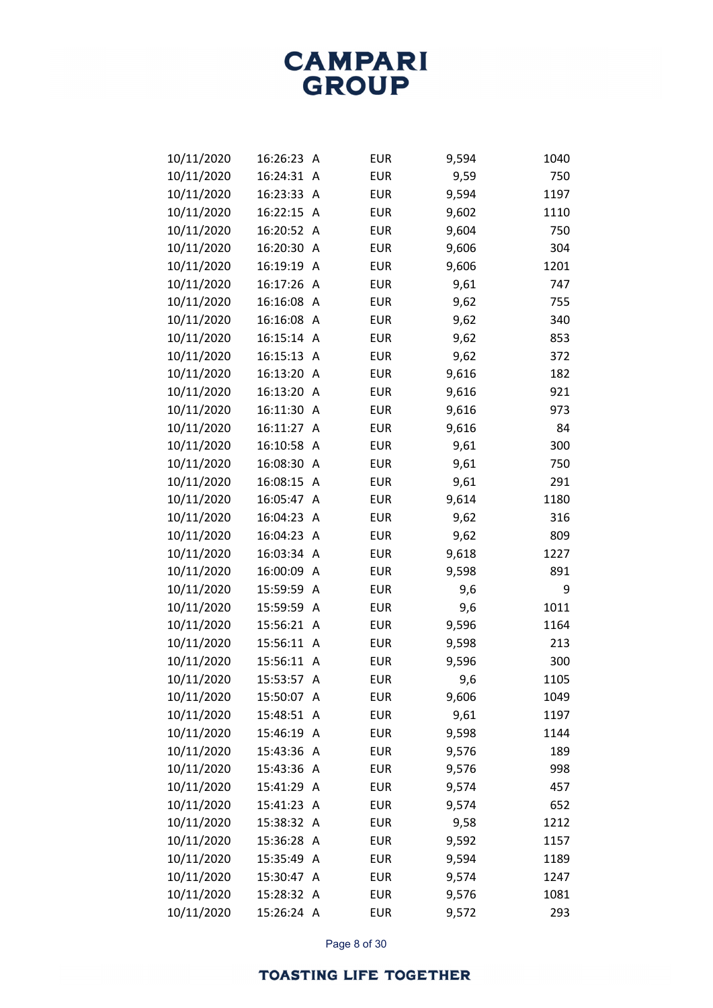| 10/11/2020 | 16:26:23   | A | <b>EUR</b> | 9,594 | 1040 |
|------------|------------|---|------------|-------|------|
| 10/11/2020 | 16:24:31   | A | <b>EUR</b> | 9,59  | 750  |
| 10/11/2020 | 16:23:33   | Α | <b>EUR</b> | 9,594 | 1197 |
| 10/11/2020 | 16:22:15   | A | <b>EUR</b> | 9,602 | 1110 |
| 10/11/2020 | 16:20:52   | A | <b>EUR</b> | 9,604 | 750  |
| 10/11/2020 | 16:20:30   | A | <b>EUR</b> | 9,606 | 304  |
| 10/11/2020 | 16:19:19   | A | <b>EUR</b> | 9,606 | 1201 |
| 10/11/2020 | 16:17:26   | Α | <b>EUR</b> | 9,61  | 747  |
| 10/11/2020 | 16:16:08   | A | <b>EUR</b> | 9,62  | 755  |
| 10/11/2020 | 16:16:08   | A | <b>EUR</b> | 9,62  | 340  |
| 10/11/2020 | 16:15:14   | Α | <b>EUR</b> | 9,62  | 853  |
| 10/11/2020 | 16:15:13   | Α | <b>EUR</b> | 9,62  | 372  |
| 10/11/2020 | 16:13:20   | A | <b>EUR</b> | 9,616 | 182  |
| 10/11/2020 | 16:13:20   | A | <b>EUR</b> | 9,616 | 921  |
| 10/11/2020 | 16:11:30   | A | <b>EUR</b> | 9,616 | 973  |
| 10/11/2020 | 16:11:27   | A | <b>EUR</b> | 9,616 | 84   |
| 10/11/2020 | 16:10:58   | A | <b>EUR</b> | 9,61  | 300  |
| 10/11/2020 | 16:08:30   | A | <b>EUR</b> | 9,61  | 750  |
| 10/11/2020 | 16:08:15   | Α | <b>EUR</b> | 9,61  | 291  |
| 10/11/2020 | 16:05:47   | Α | <b>EUR</b> | 9,614 | 1180 |
| 10/11/2020 | 16:04:23   | A | <b>EUR</b> | 9,62  | 316  |
| 10/11/2020 | 16:04:23   | A | <b>EUR</b> | 9,62  | 809  |
| 10/11/2020 | 16:03:34   | Α | <b>EUR</b> | 9,618 | 1227 |
| 10/11/2020 | 16:00:09   | Α | <b>EUR</b> | 9,598 | 891  |
| 10/11/2020 | 15:59:59   | A | <b>EUR</b> | 9,6   | 9    |
| 10/11/2020 | 15:59:59   | A | <b>EUR</b> | 9,6   | 1011 |
| 10/11/2020 | 15:56:21   | Α | <b>EUR</b> | 9,596 | 1164 |
| 10/11/2020 | 15:56:11   | Α | <b>EUR</b> | 9,598 | 213  |
| 10/11/2020 | 15:56:11   | A | <b>EUR</b> | 9,596 | 300  |
| 10/11/2020 | 15:53:57   | Α | <b>EUR</b> | 9,6   | 1105 |
| 10/11/2020 | 15:50:07   | A | <b>EUR</b> | 9,606 | 1049 |
| 10/11/2020 | 15:48:51   | Α | <b>EUR</b> | 9,61  | 1197 |
| 10/11/2020 | 15:46:19   | A | <b>EUR</b> | 9,598 | 1144 |
| 10/11/2020 | 15:43:36   | A | <b>EUR</b> | 9,576 | 189  |
| 10/11/2020 | 15:43:36   | A | <b>EUR</b> | 9,576 | 998  |
| 10/11/2020 | 15:41:29   | A | <b>EUR</b> | 9,574 | 457  |
| 10/11/2020 | 15:41:23   | A | <b>EUR</b> | 9,574 | 652  |
| 10/11/2020 | 15:38:32   | A | <b>EUR</b> | 9,58  | 1212 |
| 10/11/2020 | 15:36:28   | A | <b>EUR</b> | 9,592 | 1157 |
| 10/11/2020 | 15:35:49   | A | <b>EUR</b> | 9,594 | 1189 |
| 10/11/2020 | 15:30:47   | A | <b>EUR</b> | 9,574 | 1247 |
| 10/11/2020 | 15:28:32   | A | <b>EUR</b> | 9,576 | 1081 |
| 10/11/2020 | 15:26:24 A |   | EUR        | 9,572 | 293  |

Page 8 of 30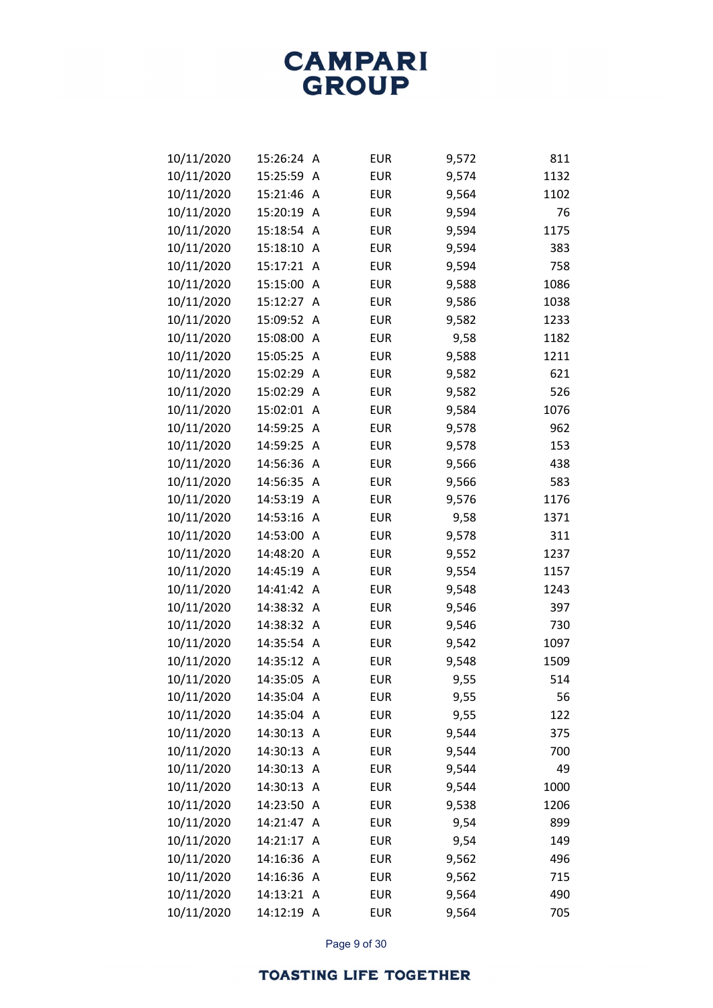| 10/11/2020 | 15:26:24   | A | <b>EUR</b> | 9,572 | 811  |
|------------|------------|---|------------|-------|------|
| 10/11/2020 | 15:25:59   | Α | <b>EUR</b> | 9,574 | 1132 |
| 10/11/2020 | 15:21:46   | Α | <b>EUR</b> | 9,564 | 1102 |
| 10/11/2020 | 15:20:19   | Α | <b>EUR</b> | 9,594 | 76   |
| 10/11/2020 | 15:18:54   | Α | <b>EUR</b> | 9,594 | 1175 |
| 10/11/2020 | 15:18:10   | Α | <b>EUR</b> | 9,594 | 383  |
| 10/11/2020 | 15:17:21   | Α | <b>EUR</b> | 9,594 | 758  |
| 10/11/2020 | 15:15:00   | Α | <b>EUR</b> | 9,588 | 1086 |
| 10/11/2020 | 15:12:27   | Α | <b>EUR</b> | 9,586 | 1038 |
| 10/11/2020 | 15:09:52   | A | <b>EUR</b> | 9,582 | 1233 |
| 10/11/2020 | 15:08:00   | Α | <b>EUR</b> | 9,58  | 1182 |
| 10/11/2020 | 15:05:25   | A | <b>EUR</b> | 9,588 | 1211 |
| 10/11/2020 | 15:02:29   | Α | <b>EUR</b> | 9,582 | 621  |
| 10/11/2020 | 15:02:29   | Α | <b>EUR</b> | 9,582 | 526  |
| 10/11/2020 | 15:02:01   | Α | <b>EUR</b> | 9,584 | 1076 |
| 10/11/2020 | 14:59:25   | Α | <b>EUR</b> | 9,578 | 962  |
| 10/11/2020 | 14:59:25   | Α | <b>EUR</b> | 9,578 | 153  |
| 10/11/2020 | 14:56:36   | Α | <b>EUR</b> | 9,566 | 438  |
| 10/11/2020 | 14:56:35   | Α | <b>EUR</b> | 9,566 | 583  |
| 10/11/2020 | 14:53:19   | Α | <b>EUR</b> | 9,576 | 1176 |
| 10/11/2020 | 14:53:16   | Α | <b>EUR</b> | 9,58  | 1371 |
| 10/11/2020 | 14:53:00   | Α | <b>EUR</b> | 9,578 | 311  |
| 10/11/2020 | 14:48:20   | Α | <b>EUR</b> | 9,552 | 1237 |
| 10/11/2020 | 14:45:19   | Α | <b>EUR</b> | 9,554 | 1157 |
| 10/11/2020 | 14:41:42   | A | <b>EUR</b> | 9,548 | 1243 |
| 10/11/2020 | 14:38:32   | A | <b>EUR</b> | 9,546 | 397  |
| 10/11/2020 | 14:38:32   | Α | <b>EUR</b> | 9,546 | 730  |
| 10/11/2020 | 14:35:54   | A | <b>EUR</b> | 9,542 | 1097 |
| 10/11/2020 | 14:35:12   | Α | <b>EUR</b> | 9,548 | 1509 |
| 10/11/2020 | 14:35:05   | Α | <b>EUR</b> | 9,55  | 514  |
| 10/11/2020 | 14:35:04   | A | <b>EUR</b> | 9,55  | 56   |
| 10/11/2020 | 14:35:04   | Α | <b>EUR</b> | 9,55  | 122  |
| 10/11/2020 | 14:30:13   | A | <b>EUR</b> | 9,544 | 375  |
| 10/11/2020 | 14:30:13   | A | <b>EUR</b> | 9,544 | 700  |
| 10/11/2020 | 14:30:13   | A | <b>EUR</b> | 9,544 | 49   |
| 10/11/2020 | 14:30:13   | Α | <b>EUR</b> | 9,544 | 1000 |
| 10/11/2020 | 14:23:50   | A | <b>EUR</b> | 9,538 | 1206 |
| 10/11/2020 | 14:21:47   | A | <b>EUR</b> | 9,54  | 899  |
| 10/11/2020 | 14:21:17   | A | <b>EUR</b> | 9,54  | 149  |
| 10/11/2020 | 14:16:36   | A | <b>EUR</b> | 9,562 | 496  |
| 10/11/2020 | 14:16:36   | A | <b>EUR</b> | 9,562 | 715  |
| 10/11/2020 | 14:13:21   | A | <b>EUR</b> | 9,564 | 490  |
| 10/11/2020 | 14:12:19 A |   | <b>EUR</b> | 9,564 | 705  |

Page 9 of 30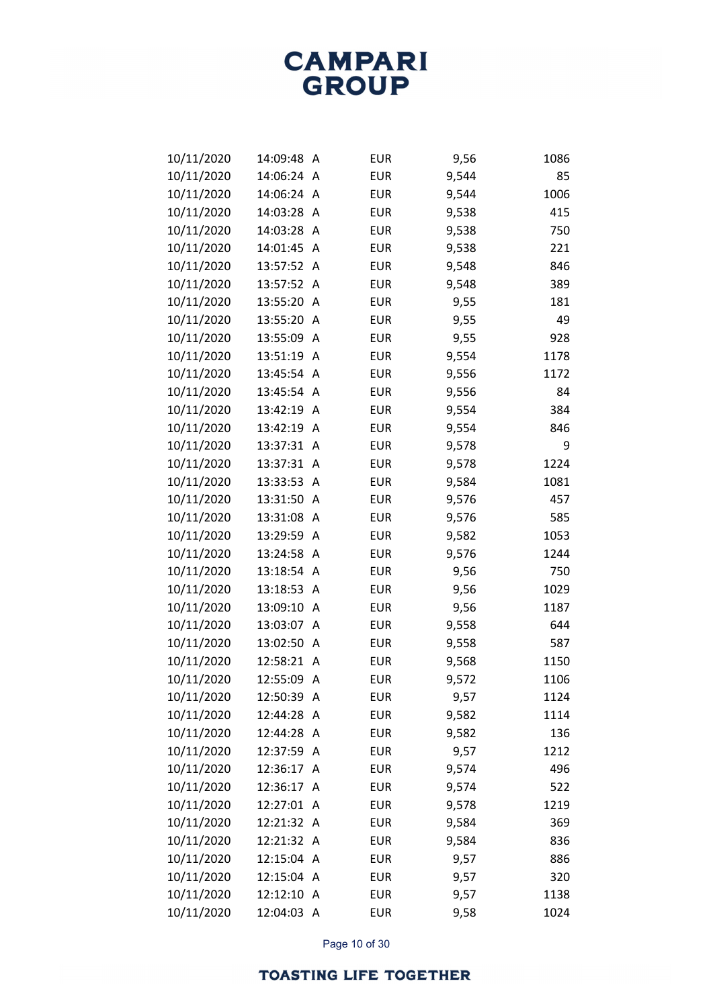| 10/11/2020 | 14:09:48   | A | <b>EUR</b> | 9,56  | 1086 |
|------------|------------|---|------------|-------|------|
| 10/11/2020 | 14:06:24   | A | <b>EUR</b> | 9,544 | 85   |
| 10/11/2020 | 14:06:24   | Α | <b>EUR</b> | 9,544 | 1006 |
| 10/11/2020 | 14:03:28   | A | <b>EUR</b> | 9,538 | 415  |
| 10/11/2020 | 14:03:28   | A | <b>EUR</b> | 9,538 | 750  |
| 10/11/2020 | 14:01:45   | A | <b>EUR</b> | 9,538 | 221  |
| 10/11/2020 | 13:57:52   | A | <b>EUR</b> | 9,548 | 846  |
| 10/11/2020 | 13:57:52   | Α | <b>EUR</b> | 9,548 | 389  |
| 10/11/2020 | 13:55:20   | Α | <b>EUR</b> | 9,55  | 181  |
| 10/11/2020 | 13:55:20   | A | <b>EUR</b> | 9,55  | 49   |
| 10/11/2020 | 13:55:09   | A | <b>EUR</b> | 9,55  | 928  |
| 10/11/2020 | 13:51:19   | A | <b>EUR</b> | 9,554 | 1178 |
| 10/11/2020 | 13:45:54   | A | <b>EUR</b> | 9,556 | 1172 |
| 10/11/2020 | 13:45:54   | A | <b>EUR</b> | 9,556 | 84   |
| 10/11/2020 | 13:42:19   | A | <b>EUR</b> | 9,554 | 384  |
| 10/11/2020 | 13:42:19   | A | <b>EUR</b> | 9,554 | 846  |
| 10/11/2020 | 13:37:31   | A | <b>EUR</b> | 9,578 | 9    |
| 10/11/2020 | 13:37:31   | A | <b>EUR</b> | 9,578 | 1224 |
| 10/11/2020 | 13:33:53   | A | <b>EUR</b> | 9,584 | 1081 |
| 10/11/2020 | 13:31:50   | A | <b>EUR</b> | 9,576 | 457  |
| 10/11/2020 | 13:31:08   | Α | <b>EUR</b> | 9,576 | 585  |
| 10/11/2020 | 13:29:59   | A | <b>EUR</b> | 9,582 | 1053 |
| 10/11/2020 | 13:24:58   | A | <b>EUR</b> | 9,576 | 1244 |
| 10/11/2020 | 13:18:54   | A | <b>EUR</b> | 9,56  | 750  |
| 10/11/2020 | 13:18:53   | Α | <b>EUR</b> | 9,56  | 1029 |
| 10/11/2020 | 13:09:10   | A | <b>EUR</b> | 9,56  | 1187 |
| 10/11/2020 | 13:03:07   | A | <b>EUR</b> | 9,558 | 644  |
| 10/11/2020 | 13:02:50   | A | <b>EUR</b> | 9,558 | 587  |
| 10/11/2020 | 12:58:21   | A | <b>EUR</b> | 9,568 | 1150 |
| 10/11/2020 | 12:55:09   | Α | <b>EUR</b> | 9,572 | 1106 |
| 10/11/2020 | 12:50:39 A |   | <b>EUR</b> | 9,57  | 1124 |
| 10/11/2020 | 12:44:28   | Α | <b>EUR</b> | 9,582 | 1114 |
| 10/11/2020 | 12:44:28   | A | <b>EUR</b> | 9,582 | 136  |
| 10/11/2020 | 12:37:59   | Α | <b>EUR</b> | 9,57  | 1212 |
| 10/11/2020 | 12:36:17   | A | <b>EUR</b> | 9,574 | 496  |
| 10/11/2020 | 12:36:17   | A | <b>EUR</b> | 9,574 | 522  |
| 10/11/2020 | 12:27:01 A |   | <b>EUR</b> | 9,578 | 1219 |
| 10/11/2020 | 12:21:32 A |   | <b>EUR</b> | 9,584 | 369  |
| 10/11/2020 | 12:21:32 A |   | <b>EUR</b> | 9,584 | 836  |
| 10/11/2020 | 12:15:04   | A | <b>EUR</b> | 9,57  | 886  |
| 10/11/2020 | 12:15:04   | A | <b>EUR</b> | 9,57  | 320  |
| 10/11/2020 | 12:12:10   | Α | <b>EUR</b> | 9,57  | 1138 |
| 10/11/2020 | 12:04:03 A |   | <b>EUR</b> | 9,58  | 1024 |

Page 10 of 30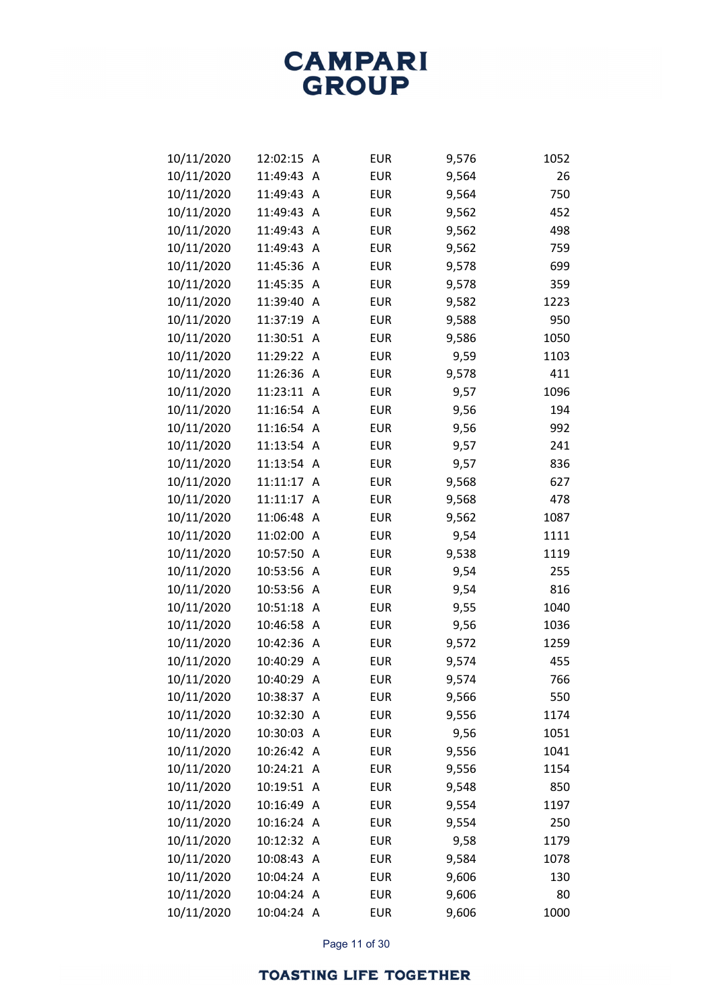| 10/11/2020 | 12:02:15   | Α        | <b>EUR</b> | 9,576 | 1052 |
|------------|------------|----------|------------|-------|------|
| 10/11/2020 | 11:49:43   | A        | <b>EUR</b> | 9,564 | 26   |
| 10/11/2020 | 11:49:43   | A        | <b>EUR</b> | 9,564 | 750  |
| 10/11/2020 | 11:49:43   | Α        | <b>EUR</b> | 9,562 | 452  |
| 10/11/2020 | 11:49:43   | A        | <b>EUR</b> | 9,562 | 498  |
| 10/11/2020 | 11:49:43   | Α        | <b>EUR</b> | 9,562 | 759  |
| 10/11/2020 | 11:45:36   | Α        | <b>EUR</b> | 9,578 | 699  |
| 10/11/2020 | 11:45:35   | Α        | <b>EUR</b> | 9,578 | 359  |
| 10/11/2020 | 11:39:40   | A        | <b>EUR</b> | 9,582 | 1223 |
| 10/11/2020 | 11:37:19   | A        | <b>EUR</b> | 9,588 | 950  |
| 10/11/2020 | 11:30:51   | Α        | <b>EUR</b> | 9,586 | 1050 |
| 10/11/2020 | 11:29:22   | $\wedge$ | <b>EUR</b> | 9,59  | 1103 |
| 10/11/2020 | 11:26:36   | A        | <b>EUR</b> | 9,578 | 411  |
| 10/11/2020 | 11:23:11   | A        | <b>EUR</b> | 9,57  | 1096 |
| 10/11/2020 | 11:16:54   | A        | <b>EUR</b> | 9,56  | 194  |
| 10/11/2020 | 11:16:54   | Α        | <b>EUR</b> | 9,56  | 992  |
| 10/11/2020 | 11:13:54   | A        | <b>EUR</b> | 9,57  | 241  |
| 10/11/2020 | 11:13:54   | A        | <b>EUR</b> | 9,57  | 836  |
| 10/11/2020 | 11:11:17   | A        | <b>EUR</b> | 9,568 | 627  |
| 10/11/2020 | 11:11:17   | A        | <b>EUR</b> | 9,568 | 478  |
| 10/11/2020 | 11:06:48   | A        | <b>EUR</b> | 9,562 | 1087 |
| 10/11/2020 | 11:02:00   | A        | <b>EUR</b> | 9,54  | 1111 |
| 10/11/2020 | 10:57:50   | Α        | <b>EUR</b> | 9,538 | 1119 |
| 10/11/2020 | 10:53:56   | Α        | <b>EUR</b> | 9,54  | 255  |
| 10/11/2020 | 10:53:56   | A        | <b>EUR</b> | 9,54  | 816  |
| 10/11/2020 | 10:51:18   | A        | <b>EUR</b> | 9,55  | 1040 |
| 10/11/2020 | 10:46:58   | Α        | <b>EUR</b> | 9,56  | 1036 |
| 10/11/2020 | 10:42:36   | Α        | <b>EUR</b> | 9,572 | 1259 |
| 10/11/2020 | 10:40:29   | A        | <b>EUR</b> | 9,574 | 455  |
| 10/11/2020 | 10:40:29   | Α        | <b>EUR</b> | 9,574 | 766  |
| 10/11/2020 | 10:38:37   | Α        | <b>EUR</b> | 9,566 | 550  |
| 10/11/2020 | 10:32:30   | Α        | <b>EUR</b> | 9,556 | 1174 |
| 10/11/2020 | 10:30:03   | A        | <b>EUR</b> | 9,56  | 1051 |
| 10/11/2020 | 10:26:42 A |          | <b>EUR</b> | 9,556 | 1041 |
| 10/11/2020 | 10:24:21   | A        | <b>EUR</b> | 9,556 | 1154 |
| 10/11/2020 | 10:19:51   | A        | <b>EUR</b> | 9,548 | 850  |
| 10/11/2020 | 10:16:49   | A        | <b>EUR</b> | 9,554 | 1197 |
| 10/11/2020 | 10:16:24   | A        | <b>EUR</b> | 9,554 | 250  |
| 10/11/2020 | 10:12:32   | A        | <b>EUR</b> | 9,58  | 1179 |
| 10/11/2020 | 10:08:43   | A        | <b>EUR</b> | 9,584 | 1078 |
| 10/11/2020 | 10:04:24   | A        | <b>EUR</b> | 9,606 | 130  |
| 10/11/2020 | 10:04:24   | Α        | <b>EUR</b> | 9,606 | 80   |
| 10/11/2020 | 10:04:24 A |          | <b>EUR</b> | 9,606 | 1000 |

Page 11 of 30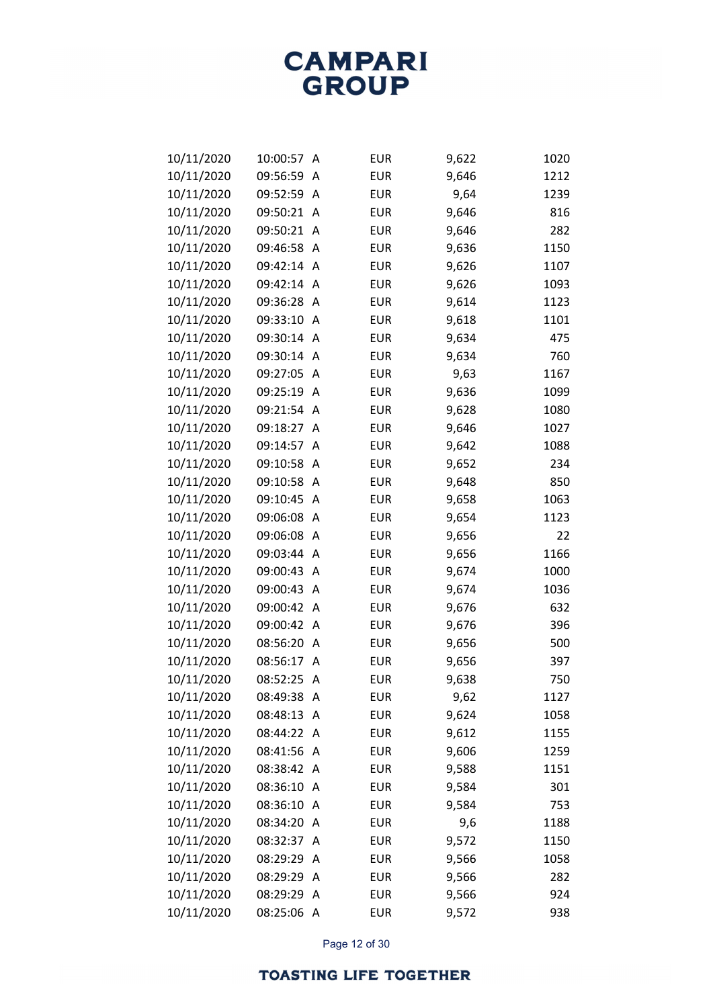| 10/11/2020 | 10:00:57   | A              | <b>EUR</b> | 9,622 | 1020 |
|------------|------------|----------------|------------|-------|------|
| 10/11/2020 | 09:56:59   | A              | <b>EUR</b> | 9,646 | 1212 |
| 10/11/2020 | 09:52:59   | A              | <b>EUR</b> | 9,64  | 1239 |
| 10/11/2020 | 09:50:21   | A              | <b>EUR</b> | 9,646 | 816  |
| 10/11/2020 | 09:50:21   | A              | <b>EUR</b> | 9,646 | 282  |
| 10/11/2020 | 09:46:58   | A              | <b>EUR</b> | 9,636 | 1150 |
| 10/11/2020 | 09:42:14   | A              | <b>EUR</b> | 9,626 | 1107 |
| 10/11/2020 | 09:42:14   | A              | <b>EUR</b> | 9,626 | 1093 |
| 10/11/2020 | 09:36:28   | A              | <b>EUR</b> | 9,614 | 1123 |
| 10/11/2020 | 09:33:10   | A              | <b>EUR</b> | 9,618 | 1101 |
| 10/11/2020 | 09:30:14   | A              | <b>EUR</b> | 9,634 | 475  |
| 10/11/2020 | 09:30:14   | A              | <b>EUR</b> | 9,634 | 760  |
| 10/11/2020 | 09:27:05   | A              | <b>EUR</b> | 9,63  | 1167 |
| 10/11/2020 | 09:25:19   | A              | <b>EUR</b> | 9,636 | 1099 |
| 10/11/2020 | 09:21:54   | A              | <b>EUR</b> | 9,628 | 1080 |
| 10/11/2020 | 09:18:27   | A              | <b>EUR</b> | 9,646 | 1027 |
| 10/11/2020 | 09:14:57   | A              | <b>EUR</b> | 9,642 | 1088 |
| 10/11/2020 | 09:10:58   | A              | <b>EUR</b> | 9,652 | 234  |
| 10/11/2020 | 09:10:58   | Α              | <b>EUR</b> | 9,648 | 850  |
| 10/11/2020 | 09:10:45   | A              | <b>EUR</b> | 9,658 | 1063 |
| 10/11/2020 | 09:06:08   | A              | <b>EUR</b> | 9,654 | 1123 |
| 10/11/2020 | 09:06:08   | A              | <b>EUR</b> | 9,656 | 22   |
| 10/11/2020 | 09:03:44   | A              | <b>EUR</b> | 9,656 | 1166 |
| 10/11/2020 | 09:00:43   | A              | <b>EUR</b> | 9,674 | 1000 |
| 10/11/2020 | 09:00:43   | Α              | <b>EUR</b> | 9,674 | 1036 |
| 10/11/2020 | 09:00:42   | A              | <b>EUR</b> | 9,676 | 632  |
| 10/11/2020 | 09:00:42   | Α              | <b>EUR</b> | 9,676 | 396  |
| 10/11/2020 | 08:56:20   | A              | <b>EUR</b> | 9,656 | 500  |
| 10/11/2020 | 08:56:17   | A              | <b>EUR</b> | 9,656 | 397  |
| 10/11/2020 | 08:52:25   | $\wedge$       | <b>EUR</b> | 9,638 | 750  |
| 10/11/2020 | 08:49:38 A |                | <b>EUR</b> | 9,62  | 1127 |
| 10/11/2020 | 08:48:13   | A              | <b>EUR</b> | 9,624 | 1058 |
| 10/11/2020 | 08:44:22   | A              | <b>EUR</b> | 9,612 | 1155 |
| 10/11/2020 | 08:41:56   | A              | <b>EUR</b> | 9,606 | 1259 |
| 10/11/2020 | 08:38:42   | A              | <b>EUR</b> | 9,588 | 1151 |
| 10/11/2020 | 08:36:10   | $\overline{A}$ | <b>EUR</b> | 9,584 | 301  |
| 10/11/2020 | 08:36:10   | A              | <b>EUR</b> | 9,584 | 753  |
| 10/11/2020 | 08:34:20   | A              | <b>EUR</b> | 9,6   | 1188 |
| 10/11/2020 | 08:32:37   | A              | <b>EUR</b> | 9,572 | 1150 |
| 10/11/2020 | 08:29:29   | A              | <b>EUR</b> | 9,566 | 1058 |
| 10/11/2020 | 08:29:29   | Α              | <b>EUR</b> | 9,566 | 282  |
| 10/11/2020 | 08:29:29   | A              | <b>EUR</b> | 9,566 | 924  |
| 10/11/2020 | 08:25:06   | $\wedge$       | <b>EUR</b> | 9,572 | 938  |

Page 12 of 30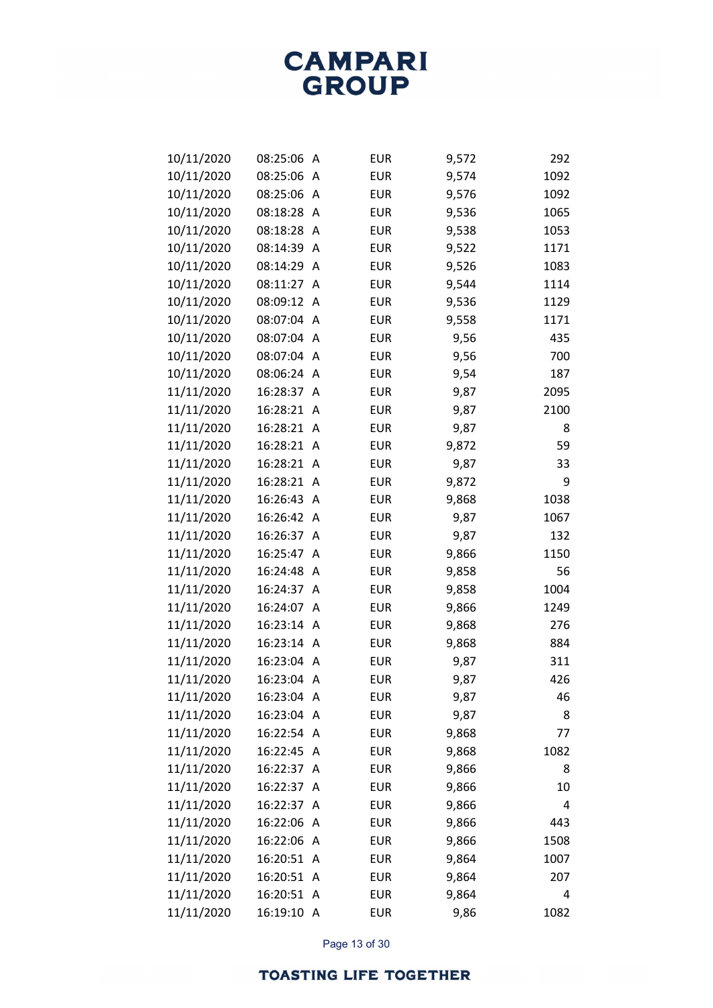| 10/11/2020 | 08:25:06   | Α              | <b>EUR</b> | 9,572 | 292  |
|------------|------------|----------------|------------|-------|------|
| 10/11/2020 | 08:25:06   | A              | <b>EUR</b> | 9,574 | 1092 |
| 10/11/2020 | 08:25:06   | A              | <b>EUR</b> | 9,576 | 1092 |
| 10/11/2020 | 08:18:28   | A              | <b>EUR</b> | 9,536 | 1065 |
| 10/11/2020 | 08:18:28   | A              | <b>EUR</b> | 9,538 | 1053 |
| 10/11/2020 | 08:14:39   | A              | <b>EUR</b> | 9,522 | 1171 |
| 10/11/2020 | 08:14:29   | A              | <b>EUR</b> | 9,526 | 1083 |
| 10/11/2020 | 08:11:27   | A              | <b>EUR</b> | 9,544 | 1114 |
| 10/11/2020 | 08:09:12   | A              | <b>EUR</b> | 9,536 | 1129 |
| 10/11/2020 | 08:07:04   | A              | <b>EUR</b> | 9,558 | 1171 |
| 10/11/2020 | 08:07:04   | A              | <b>EUR</b> | 9,56  | 435  |
| 10/11/2020 | 08:07:04   | A              | <b>EUR</b> | 9,56  | 700  |
| 10/11/2020 | 08:06:24   | A              | <b>EUR</b> | 9,54  | 187  |
| 11/11/2020 | 16:28:37   | A              | <b>EUR</b> | 9,87  | 2095 |
| 11/11/2020 | 16:28:21   | A              | <b>EUR</b> | 9,87  | 2100 |
| 11/11/2020 | 16:28:21   | A              | <b>EUR</b> | 9,87  | 8    |
| 11/11/2020 | 16:28:21   | A              | <b>EUR</b> | 9,872 | 59   |
| 11/11/2020 | 16:28:21   | A              | <b>EUR</b> | 9,87  | 33   |
| 11/11/2020 | 16:28:21   | Α              | <b>EUR</b> | 9,872 | 9    |
| 11/11/2020 | 16:26:43   | A              | <b>EUR</b> | 9,868 | 1038 |
| 11/11/2020 | 16:26:42   | A              | <b>EUR</b> | 9,87  | 1067 |
| 11/11/2020 | 16:26:37   | A              | <b>EUR</b> | 9,87  | 132  |
| 11/11/2020 | 16:25:47   | A              | <b>EUR</b> | 9,866 | 1150 |
| 11/11/2020 | 16:24:48   | Α              | <b>EUR</b> | 9,858 | 56   |
| 11/11/2020 | 16:24:37   | A              | <b>EUR</b> | 9,858 | 1004 |
| 11/11/2020 | 16:24:07   | A              | <b>EUR</b> | 9,866 | 1249 |
| 11/11/2020 | 16:23:14   | A              | <b>EUR</b> | 9,868 | 276  |
| 11/11/2020 | 16:23:14   | Α              | <b>EUR</b> | 9,868 | 884  |
| 11/11/2020 | 16:23:04   | A              | <b>EUR</b> | 9,87  | 311  |
| 11/11/2020 | 16:23:04   | Α              | <b>EUR</b> | 9,87  | 426  |
| 11/11/2020 | 16:23:04   | A              | <b>EUR</b> | 9,87  | 46   |
| 11/11/2020 | 16:23:04   | A              | <b>EUR</b> | 9,87  | 8    |
| 11/11/2020 | 16:22:54   | A              | <b>EUR</b> | 9,868 | 77   |
| 11/11/2020 | 16:22:45   | A              | <b>EUR</b> | 9,868 | 1082 |
| 11/11/2020 | 16:22:37   | A              | <b>EUR</b> | 9,866 | 8    |
| 11/11/2020 | 16:22:37   | A              | <b>EUR</b> | 9,866 | 10   |
| 11/11/2020 | 16:22:37   | A              | <b>EUR</b> | 9,866 | 4    |
| 11/11/2020 | 16:22:06   | Α              | <b>EUR</b> | 9,866 | 443  |
| 11/11/2020 | 16:22:06   | $\overline{A}$ | <b>EUR</b> | 9,866 | 1508 |
| 11/11/2020 | 16:20:51   | $\overline{A}$ | <b>EUR</b> | 9,864 | 1007 |
| 11/11/2020 | 16:20:51   | A              | <b>EUR</b> | 9,864 | 207  |
| 11/11/2020 | 16:20:51   | A              | <b>EUR</b> | 9,864 | 4    |
| 11/11/2020 | 16:19:10 A |                | <b>EUR</b> | 9,86  | 1082 |

Page 13 of 30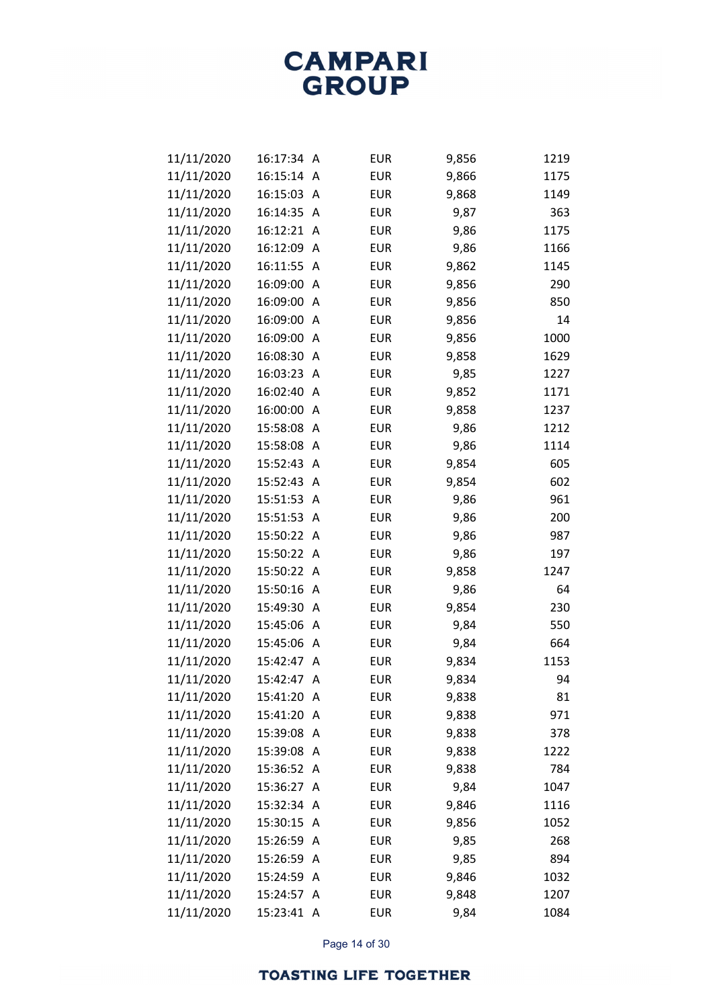| 11/11/2020 | 16:17:34   | A | <b>EUR</b> | 9,856 | 1219 |
|------------|------------|---|------------|-------|------|
| 11/11/2020 | 16:15:14   | A | <b>EUR</b> | 9,866 | 1175 |
| 11/11/2020 | 16:15:03   | A | <b>EUR</b> | 9,868 | 1149 |
| 11/11/2020 | 16:14:35   | A | <b>EUR</b> | 9,87  | 363  |
| 11/11/2020 | 16:12:21   | A | <b>EUR</b> | 9,86  | 1175 |
| 11/11/2020 | 16:12:09   | A | <b>EUR</b> | 9,86  | 1166 |
| 11/11/2020 | 16:11:55   | A | <b>EUR</b> | 9,862 | 1145 |
| 11/11/2020 | 16:09:00   | Α | <b>EUR</b> | 9,856 | 290  |
| 11/11/2020 | 16:09:00   | A | <b>EUR</b> | 9,856 | 850  |
| 11/11/2020 | 16:09:00   | A | <b>EUR</b> | 9,856 | 14   |
| 11/11/2020 | 16:09:00   | A | <b>EUR</b> | 9,856 | 1000 |
| 11/11/2020 | 16:08:30   | Α | <b>EUR</b> | 9,858 | 1629 |
| 11/11/2020 | 16:03:23   | A | <b>EUR</b> | 9,85  | 1227 |
| 11/11/2020 | 16:02:40   | A | <b>EUR</b> | 9,852 | 1171 |
| 11/11/2020 | 16:00:00   | A | <b>EUR</b> | 9,858 | 1237 |
| 11/11/2020 | 15:58:08   | Α | <b>EUR</b> | 9,86  | 1212 |
| 11/11/2020 | 15:58:08   | A | <b>EUR</b> | 9,86  | 1114 |
| 11/11/2020 | 15:52:43   | A | <b>EUR</b> | 9,854 | 605  |
| 11/11/2020 | 15:52:43   | A | <b>EUR</b> | 9,854 | 602  |
| 11/11/2020 | 15:51:53   | Α | <b>EUR</b> | 9,86  | 961  |
| 11/11/2020 | 15:51:53   | A | <b>EUR</b> | 9,86  | 200  |
| 11/11/2020 | 15:50:22   | A | <b>EUR</b> | 9,86  | 987  |
| 11/11/2020 | 15:50:22   | Α | <b>EUR</b> | 9,86  | 197  |
| 11/11/2020 | 15:50:22   | A | <b>EUR</b> | 9,858 | 1247 |
| 11/11/2020 | 15:50:16   | A | <b>EUR</b> | 9,86  | 64   |
| 11/11/2020 | 15:49:30   | A | <b>EUR</b> | 9,854 | 230  |
| 11/11/2020 | 15:45:06   | Α | <b>EUR</b> | 9,84  | 550  |
| 11/11/2020 | 15:45:06   | Α | <b>EUR</b> | 9,84  | 664  |
| 11/11/2020 | 15:42:47   | A | <b>EUR</b> | 9,834 | 1153 |
| 11/11/2020 | 15:42:47   | A | <b>EUR</b> | 9,834 | 94   |
| 11/11/2020 | 15:41:20   | A | <b>EUR</b> | 9,838 | 81   |
| 11/11/2020 | 15:41:20   | A | <b>EUR</b> | 9,838 | 971  |
| 11/11/2020 | 15:39:08   | A | <b>EUR</b> | 9,838 | 378  |
| 11/11/2020 | 15:39:08   | A | <b>EUR</b> | 9,838 | 1222 |
| 11/11/2020 | 15:36:52   | A | <b>EUR</b> | 9,838 | 784  |
| 11/11/2020 | 15:36:27   | A | <b>EUR</b> | 9,84  | 1047 |
| 11/11/2020 | 15:32:34   | A | <b>EUR</b> | 9,846 | 1116 |
| 11/11/2020 | 15:30:15   | Α | <b>EUR</b> | 9,856 | 1052 |
| 11/11/2020 | 15:26:59   | A | <b>EUR</b> | 9,85  | 268  |
| 11/11/2020 | 15:26:59   | A | <b>EUR</b> | 9,85  | 894  |
| 11/11/2020 | 15:24:59   | A | <b>EUR</b> | 9,846 | 1032 |
| 11/11/2020 | 15:24:57   | Α | <b>EUR</b> | 9,848 | 1207 |
| 11/11/2020 | 15:23:41 A |   | <b>EUR</b> | 9,84  | 1084 |

Page 14 of 30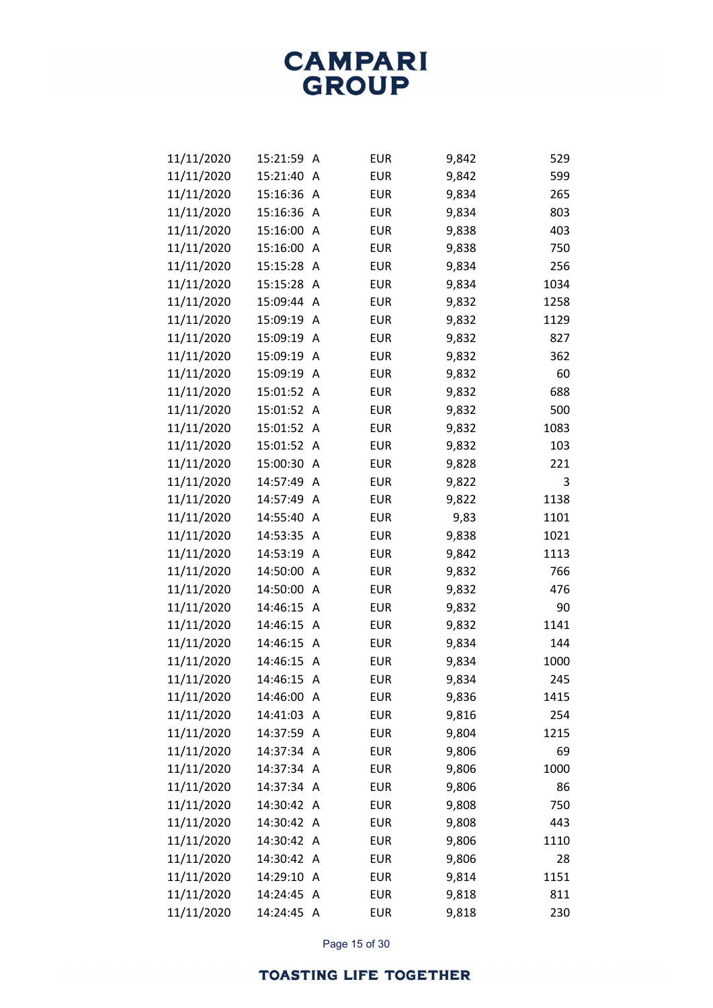| 11/11/2020 | 15:21:59   | Α | <b>EUR</b> | 9,842 | 529  |
|------------|------------|---|------------|-------|------|
| 11/11/2020 | 15:21:40   | A | <b>EUR</b> | 9,842 | 599  |
| 11/11/2020 | 15:16:36   | Α | <b>EUR</b> | 9,834 | 265  |
| 11/11/2020 | 15:16:36   | Α | <b>EUR</b> | 9,834 | 803  |
| 11/11/2020 | 15:16:00   | A | <b>EUR</b> | 9,838 | 403  |
| 11/11/2020 | 15:16:00   | Α | <b>EUR</b> | 9,838 | 750  |
| 11/11/2020 | 15:15:28   | Α | <b>EUR</b> | 9,834 | 256  |
| 11/11/2020 | 15:15:28   | Α | <b>EUR</b> | 9,834 | 1034 |
| 11/11/2020 | 15:09:44   | A | <b>EUR</b> | 9,832 | 1258 |
| 11/11/2020 | 15:09:19   | A | <b>EUR</b> | 9,832 | 1129 |
| 11/11/2020 | 15:09:19   | Α | <b>EUR</b> | 9,832 | 827  |
| 11/11/2020 | 15:09:19   | Α | <b>EUR</b> | 9,832 | 362  |
| 11/11/2020 | 15:09:19   | A | <b>EUR</b> | 9,832 | 60   |
| 11/11/2020 | 15:01:52   | Α | <b>EUR</b> | 9,832 | 688  |
| 11/11/2020 | 15:01:52   | Α | <b>EUR</b> | 9,832 | 500  |
| 11/11/2020 | 15:01:52   | Α | <b>EUR</b> | 9,832 | 1083 |
| 11/11/2020 | 15:01:52   | A | <b>EUR</b> | 9,832 | 103  |
| 11/11/2020 | 15:00:30   | A | <b>EUR</b> | 9,828 | 221  |
| 11/11/2020 | 14:57:49   | Α | <b>EUR</b> | 9,822 | 3    |
| 11/11/2020 | 14:57:49   | Α | <b>EUR</b> | 9,822 | 1138 |
| 11/11/2020 | 14:55:40   | A | <b>EUR</b> | 9,83  | 1101 |
| 11/11/2020 | 14:53:35   | Α | <b>EUR</b> | 9,838 | 1021 |
| 11/11/2020 | 14:53:19   | Α | <b>EUR</b> | 9,842 | 1113 |
| 11/11/2020 | 14:50:00   | Α | <b>EUR</b> | 9,832 | 766  |
| 11/11/2020 | 14:50:00   | Α | <b>EUR</b> | 9,832 | 476  |
| 11/11/2020 | 14:46:15   | Α | <b>EUR</b> | 9,832 | 90   |
| 11/11/2020 | 14:46:15   | Α | <b>EUR</b> | 9,832 | 1141 |
| 11/11/2020 | 14:46:15   | Α | <b>EUR</b> | 9,834 | 144  |
| 11/11/2020 | 14:46:15   | A | <b>EUR</b> | 9,834 | 1000 |
| 11/11/2020 | 14:46:15   | Α | <b>EUR</b> | 9,834 | 245  |
| 11/11/2020 | 14:46:00   | A | <b>EUR</b> | 9,836 | 1415 |
| 11/11/2020 | 14:41:03   | A | <b>EUR</b> | 9,816 | 254  |
| 11/11/2020 | 14:37:59   | A | <b>EUR</b> | 9,804 | 1215 |
| 11/11/2020 | 14:37:34   | A | <b>EUR</b> | 9,806 | 69   |
| 11/11/2020 | 14:37:34   | A | <b>EUR</b> | 9,806 | 1000 |
| 11/11/2020 | 14:37:34   | A | <b>EUR</b> | 9,806 | 86   |
| 11/11/2020 | 14:30:42   | A | <b>EUR</b> | 9,808 | 750  |
| 11/11/2020 | 14:30:42 A |   | <b>EUR</b> | 9,808 | 443  |
| 11/11/2020 | 14:30:42   | A | <b>EUR</b> | 9,806 | 1110 |
| 11/11/2020 | 14:30:42   | A | <b>EUR</b> | 9,806 | 28   |
| 11/11/2020 | 14:29:10   | A | <b>EUR</b> | 9,814 | 1151 |
| 11/11/2020 | 14:24:45   | A | <b>EUR</b> | 9,818 | 811  |
| 11/11/2020 | 14:24:45   | A | <b>EUR</b> | 9,818 | 230  |

Page 15 of 30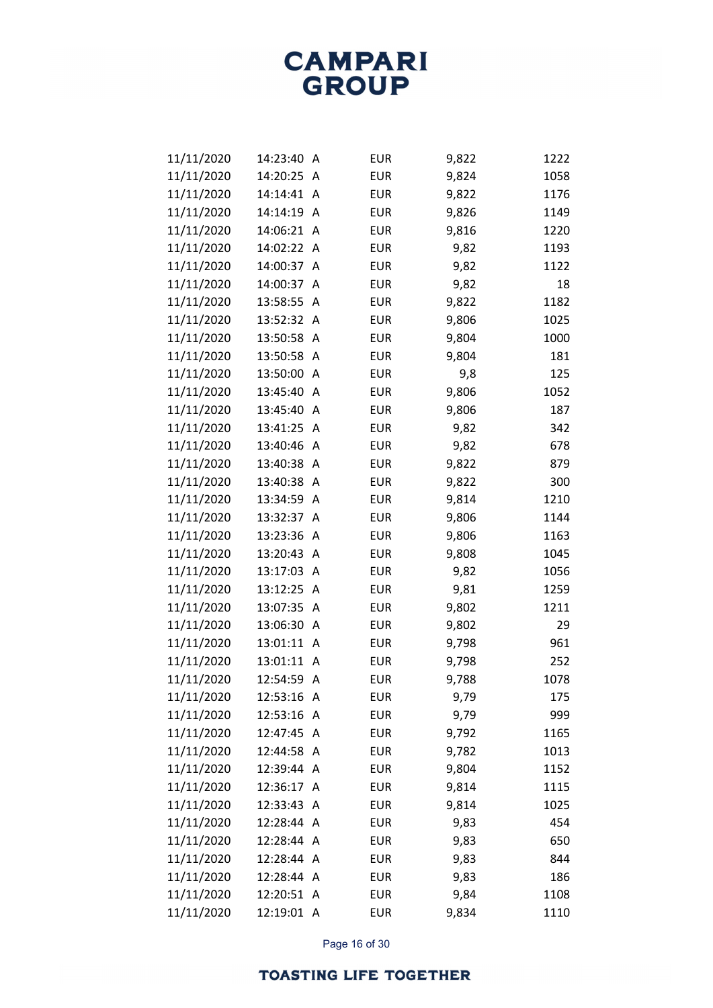| 11/11/2020 | 14:23:40   | Α | <b>EUR</b> | 9,822 | 1222 |
|------------|------------|---|------------|-------|------|
| 11/11/2020 | 14:20:25   | A | <b>EUR</b> | 9,824 | 1058 |
| 11/11/2020 | 14:14:41   | Α | <b>EUR</b> | 9,822 | 1176 |
| 11/11/2020 | 14:14:19   | Α | <b>EUR</b> | 9,826 | 1149 |
| 11/11/2020 | 14:06:21   | A | <b>EUR</b> | 9,816 | 1220 |
| 11/11/2020 | 14:02:22   | Α | <b>EUR</b> | 9,82  | 1193 |
| 11/11/2020 | 14:00:37   | A | <b>EUR</b> | 9,82  | 1122 |
| 11/11/2020 | 14:00:37   | Α | <b>EUR</b> | 9,82  | 18   |
| 11/11/2020 | 13:58:55   | Α | <b>EUR</b> | 9,822 | 1182 |
| 11/11/2020 | 13:52:32   | Α | <b>EUR</b> | 9,806 | 1025 |
| 11/11/2020 | 13:50:58   | Α | <b>EUR</b> | 9,804 | 1000 |
| 11/11/2020 | 13:50:58   | Α | <b>EUR</b> | 9,804 | 181  |
| 11/11/2020 | 13:50:00   | A | <b>EUR</b> | 9,8   | 125  |
| 11/11/2020 | 13:45:40   | Α | <b>EUR</b> | 9,806 | 1052 |
| 11/11/2020 | 13:45:40   | Α | <b>EUR</b> | 9,806 | 187  |
| 11/11/2020 | 13:41:25   | Α | <b>EUR</b> | 9,82  | 342  |
| 11/11/2020 | 13:40:46   | A | <b>EUR</b> | 9,82  | 678  |
| 11/11/2020 | 13:40:38   | Α | <b>EUR</b> | 9,822 | 879  |
| 11/11/2020 | 13:40:38   | Α | <b>EUR</b> | 9,822 | 300  |
| 11/11/2020 | 13:34:59   | Α | <b>EUR</b> | 9,814 | 1210 |
| 11/11/2020 | 13:32:37   | A | <b>EUR</b> | 9,806 | 1144 |
| 11/11/2020 | 13:23:36   | Α | <b>EUR</b> | 9,806 | 1163 |
| 11/11/2020 | 13:20:43   | Α | <b>EUR</b> | 9,808 | 1045 |
| 11/11/2020 | 13:17:03   | Α | <b>EUR</b> | 9,82  | 1056 |
| 11/11/2020 | 13:12:25   | Α | <b>EUR</b> | 9,81  | 1259 |
| 11/11/2020 | 13:07:35   | Α | <b>EUR</b> | 9,802 | 1211 |
| 11/11/2020 | 13:06:30   | Α | <b>EUR</b> | 9,802 | 29   |
| 11/11/2020 | 13:01:11   | A | <b>EUR</b> | 9,798 | 961  |
| 11/11/2020 | 13:01:11   | A | <b>EUR</b> | 9,798 | 252  |
| 11/11/2020 | 12:54:59   | Α | <b>EUR</b> | 9,788 | 1078 |
| 11/11/2020 | 12:53:16   | A | <b>EUR</b> | 9,79  | 175  |
| 11/11/2020 | 12:53:16   | Α | <b>EUR</b> | 9,79  | 999  |
| 11/11/2020 | 12:47:45   | A | <b>EUR</b> | 9,792 | 1165 |
| 11/11/2020 | 12:44:58   | A | <b>EUR</b> | 9,782 | 1013 |
| 11/11/2020 | 12:39:44   | A | <b>EUR</b> | 9,804 | 1152 |
| 11/11/2020 | 12:36:17   | A | <b>EUR</b> | 9,814 | 1115 |
| 11/11/2020 | 12:33:43   | A | <b>EUR</b> | 9,814 | 1025 |
| 11/11/2020 | 12:28:44   | A | <b>EUR</b> | 9,83  | 454  |
| 11/11/2020 | 12:28:44   | A | <b>EUR</b> | 9,83  | 650  |
| 11/11/2020 | 12:28:44   | A | <b>EUR</b> | 9,83  | 844  |
| 11/11/2020 | 12:28:44   | A | <b>EUR</b> | 9,83  | 186  |
| 11/11/2020 | 12:20:51   | A | <b>EUR</b> | 9,84  | 1108 |
| 11/11/2020 | 12:19:01 A |   | <b>EUR</b> | 9,834 | 1110 |

Page 16 of 30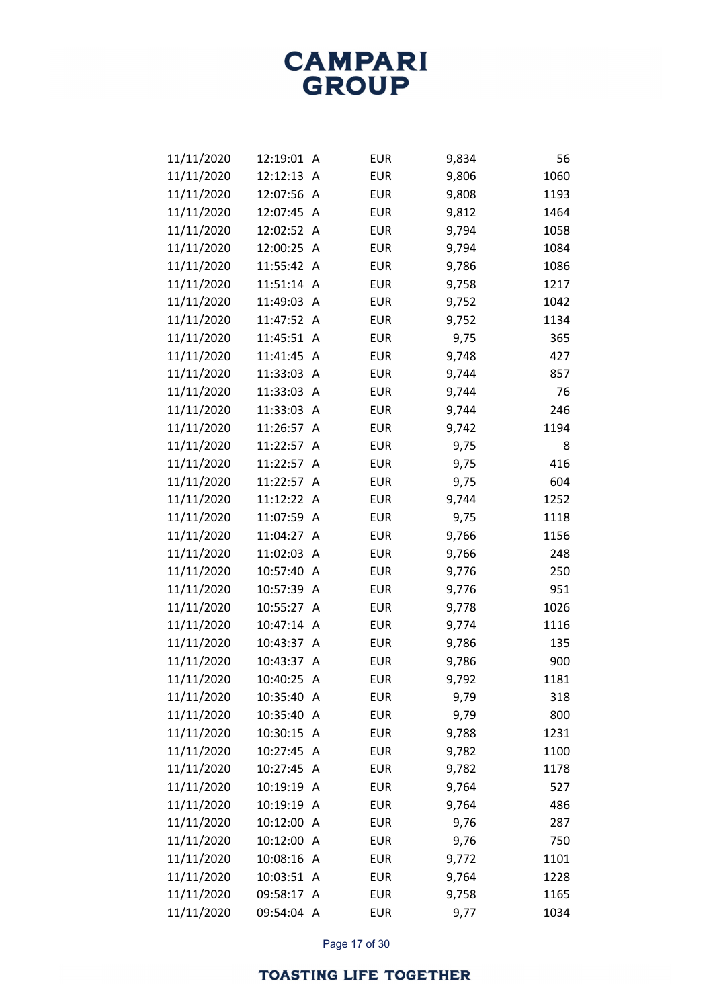| 11/11/2020 | 12:19:01   | A              | <b>EUR</b> | 9,834 | 56   |
|------------|------------|----------------|------------|-------|------|
| 11/11/2020 | 12:12:13   | A              | <b>EUR</b> | 9,806 | 1060 |
| 11/11/2020 | 12:07:56   | A              | <b>EUR</b> | 9,808 | 1193 |
| 11/11/2020 | 12:07:45   | A              | <b>EUR</b> | 9,812 | 1464 |
| 11/11/2020 | 12:02:52   | A              | <b>EUR</b> | 9,794 | 1058 |
| 11/11/2020 | 12:00:25   | A              | <b>EUR</b> | 9,794 | 1084 |
| 11/11/2020 | 11:55:42   | A              | <b>EUR</b> | 9,786 | 1086 |
| 11/11/2020 | 11:51:14   | A              | <b>EUR</b> | 9,758 | 1217 |
| 11/11/2020 | 11:49:03   | A              | <b>EUR</b> | 9,752 | 1042 |
| 11/11/2020 | 11:47:52   | A              | <b>EUR</b> | 9,752 | 1134 |
| 11/11/2020 | 11:45:51   | A              | <b>EUR</b> | 9,75  | 365  |
| 11/11/2020 | 11:41:45   | A              | <b>EUR</b> | 9,748 | 427  |
| 11/11/2020 | 11:33:03   | A              | <b>EUR</b> | 9,744 | 857  |
| 11/11/2020 | 11:33:03   | A              | <b>EUR</b> | 9,744 | 76   |
| 11/11/2020 | 11:33:03   | A              | <b>EUR</b> | 9,744 | 246  |
| 11/11/2020 | 11:26:57   | A              | <b>EUR</b> | 9,742 | 1194 |
| 11/11/2020 | 11:22:57   | A              | <b>EUR</b> | 9,75  | 8    |
| 11/11/2020 | 11:22:57   | A              | <b>EUR</b> | 9,75  | 416  |
| 11/11/2020 | 11:22:57   | A              | <b>EUR</b> | 9,75  | 604  |
| 11/11/2020 | 11:12:22   | A              | <b>EUR</b> | 9,744 | 1252 |
| 11/11/2020 | 11:07:59   | A              | <b>EUR</b> | 9,75  | 1118 |
| 11/11/2020 | 11:04:27   | A              | <b>EUR</b> | 9,766 | 1156 |
| 11/11/2020 | 11:02:03   | A              | <b>EUR</b> | 9,766 | 248  |
| 11/11/2020 | 10:57:40   | A              | <b>EUR</b> | 9,776 | 250  |
| 11/11/2020 | 10:57:39   | A              | <b>EUR</b> | 9,776 | 951  |
| 11/11/2020 | 10:55:27   | A              | <b>EUR</b> | 9,778 | 1026 |
| 11/11/2020 | 10:47:14   | A              | <b>EUR</b> | 9,774 | 1116 |
| 11/11/2020 | 10:43:37   | Α              | <b>EUR</b> | 9,786 | 135  |
| 11/11/2020 | 10:43:37   | A              | <b>EUR</b> | 9,786 | 900  |
| 11/11/2020 | 10:40:25   | Α              | <b>EUR</b> | 9,792 | 1181 |
| 11/11/2020 | 10:35:40   | A              | <b>EUR</b> | 9,79  | 318  |
| 11/11/2020 | 10:35:40   | A              | <b>EUR</b> | 9,79  | 800  |
| 11/11/2020 | 10:30:15   | A              | <b>EUR</b> | 9,788 | 1231 |
| 11/11/2020 | 10:27:45   | Α              | <b>EUR</b> | 9,782 | 1100 |
| 11/11/2020 | 10:27:45   | A              | <b>EUR</b> | 9,782 | 1178 |
| 11/11/2020 | 10:19:19   | A              | <b>EUR</b> | 9,764 | 527  |
| 11/11/2020 | 10:19:19   | A              | <b>EUR</b> | 9,764 | 486  |
| 11/11/2020 | 10:12:00   | Α              | <b>EUR</b> | 9,76  | 287  |
| 11/11/2020 | 10:12:00   | $\overline{A}$ | <b>EUR</b> | 9,76  | 750  |
| 11/11/2020 | 10:08:16   | A              | <b>EUR</b> | 9,772 | 1101 |
| 11/11/2020 | 10:03:51   | A              | <b>EUR</b> | 9,764 | 1228 |
| 11/11/2020 | 09:58:17   | Α              | <b>EUR</b> | 9,758 | 1165 |
| 11/11/2020 | 09:54:04 A |                | <b>EUR</b> | 9,77  | 1034 |

Page 17 of 30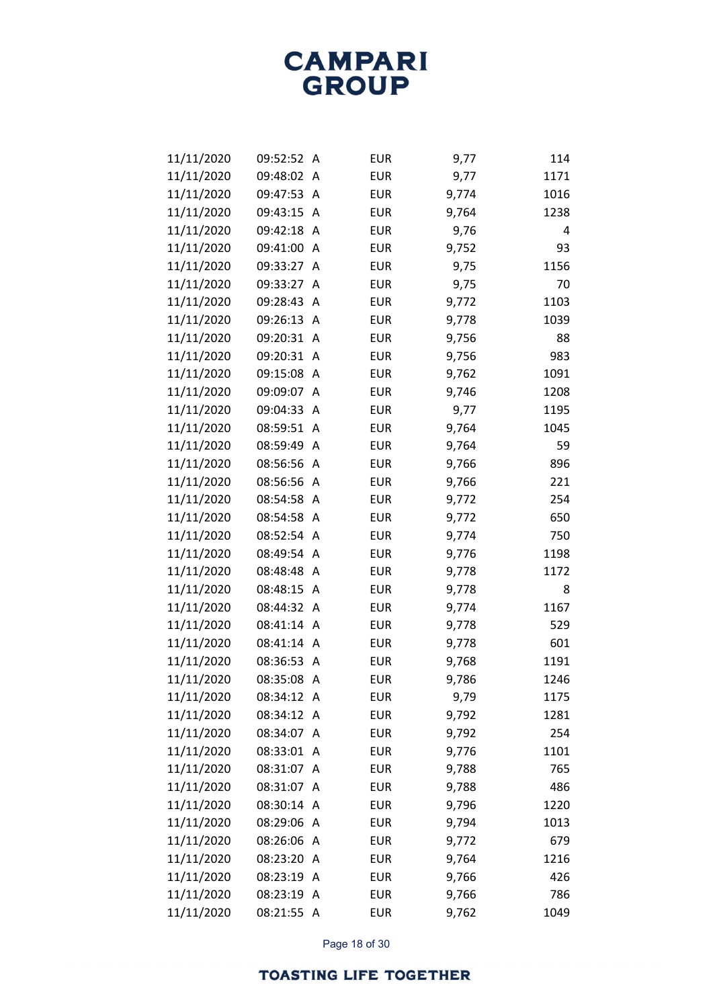| 11/11/2020 | 09:52:52   | Α              | <b>EUR</b> | 9,77  | 114  |
|------------|------------|----------------|------------|-------|------|
| 11/11/2020 | 09:48:02   | A              | <b>EUR</b> | 9,77  | 1171 |
| 11/11/2020 | 09:47:53   | Α              | <b>EUR</b> | 9,774 | 1016 |
| 11/11/2020 | 09:43:15   | Α              | <b>EUR</b> | 9,764 | 1238 |
| 11/11/2020 | 09:42:18   | A              | <b>EUR</b> | 9,76  | 4    |
| 11/11/2020 | 09:41:00   | Α              | <b>EUR</b> | 9,752 | 93   |
| 11/11/2020 | 09:33:27   | Α              | <b>EUR</b> | 9,75  | 1156 |
| 11/11/2020 | 09:33:27   | Α              | <b>EUR</b> | 9,75  | 70   |
| 11/11/2020 | 09:28:43   | A              | <b>EUR</b> | 9,772 | 1103 |
| 11/11/2020 | 09:26:13   | A              | <b>EUR</b> | 9,778 | 1039 |
| 11/11/2020 | 09:20:31   | Α              | <b>EUR</b> | 9,756 | 88   |
| 11/11/2020 | 09:20:31   | Α              | <b>EUR</b> | 9,756 | 983  |
| 11/11/2020 | 09:15:08   | A              | <b>EUR</b> | 9,762 | 1091 |
| 11/11/2020 | 09:09:07   | Α              | <b>EUR</b> | 9,746 | 1208 |
| 11/11/2020 | 09:04:33   | Α              | <b>EUR</b> | 9,77  | 1195 |
| 11/11/2020 | 08:59:51   | Α              | <b>EUR</b> | 9,764 | 1045 |
| 11/11/2020 | 08:59:49   | A              | <b>EUR</b> | 9,764 | 59   |
| 11/11/2020 | 08:56:56   | Α              | <b>EUR</b> | 9,766 | 896  |
| 11/11/2020 | 08:56:56   | Α              | <b>EUR</b> | 9,766 | 221  |
| 11/11/2020 | 08:54:58   | Α              | <b>EUR</b> | 9,772 | 254  |
| 11/11/2020 | 08:54:58   | A              | <b>EUR</b> | 9,772 | 650  |
| 11/11/2020 | 08:52:54   | A              | <b>EUR</b> | 9,774 | 750  |
| 11/11/2020 | 08:49:54   | Α              | <b>EUR</b> | 9,776 | 1198 |
| 11/11/2020 | 08:48:48   | Α              | <b>EUR</b> | 9,778 | 1172 |
| 11/11/2020 | 08:48:15   | A              | <b>EUR</b> | 9,778 | 8    |
| 11/11/2020 | 08:44:32   | Α              | <b>EUR</b> | 9,774 | 1167 |
| 11/11/2020 | 08:41:14   | Α              | <b>EUR</b> | 9,778 | 529  |
| 11/11/2020 | 08:41:14   | Α              | <b>EUR</b> | 9,778 | 601  |
| 11/11/2020 | 08:36:53   | A              | <b>EUR</b> | 9,768 | 1191 |
| 11/11/2020 | 08:35:08   | Α              | <b>EUR</b> | 9,786 | 1246 |
| 11/11/2020 | 08:34:12 A |                | <b>EUR</b> | 9,79  | 1175 |
| 11/11/2020 | 08:34:12   | A              | <b>EUR</b> | 9,792 | 1281 |
| 11/11/2020 | 08:34:07   | A              | <b>EUR</b> | 9,792 | 254  |
| 11/11/2020 | 08:33:01   | Α              | <b>EUR</b> | 9,776 | 1101 |
| 11/11/2020 | 08:31:07   | A              | <b>EUR</b> | 9,788 | 765  |
| 11/11/2020 | 08:31:07   | A              | <b>EUR</b> | 9,788 | 486  |
| 11/11/2020 | 08:30:14   | A              | <b>EUR</b> | 9,796 | 1220 |
| 11/11/2020 | 08:29:06   | A              | <b>EUR</b> | 9,794 | 1013 |
| 11/11/2020 | 08:26:06   | A              | <b>EUR</b> | 9,772 | 679  |
| 11/11/2020 | 08:23:20   | A              | <b>EUR</b> | 9,764 | 1216 |
| 11/11/2020 | 08:23:19   | A              | <b>EUR</b> | 9,766 | 426  |
| 11/11/2020 | 08:23:19   | Α              | <b>EUR</b> | 9,766 | 786  |
| 11/11/2020 | 08:21:55   | $\overline{A}$ | EUR        | 9,762 | 1049 |

Page 18 of 30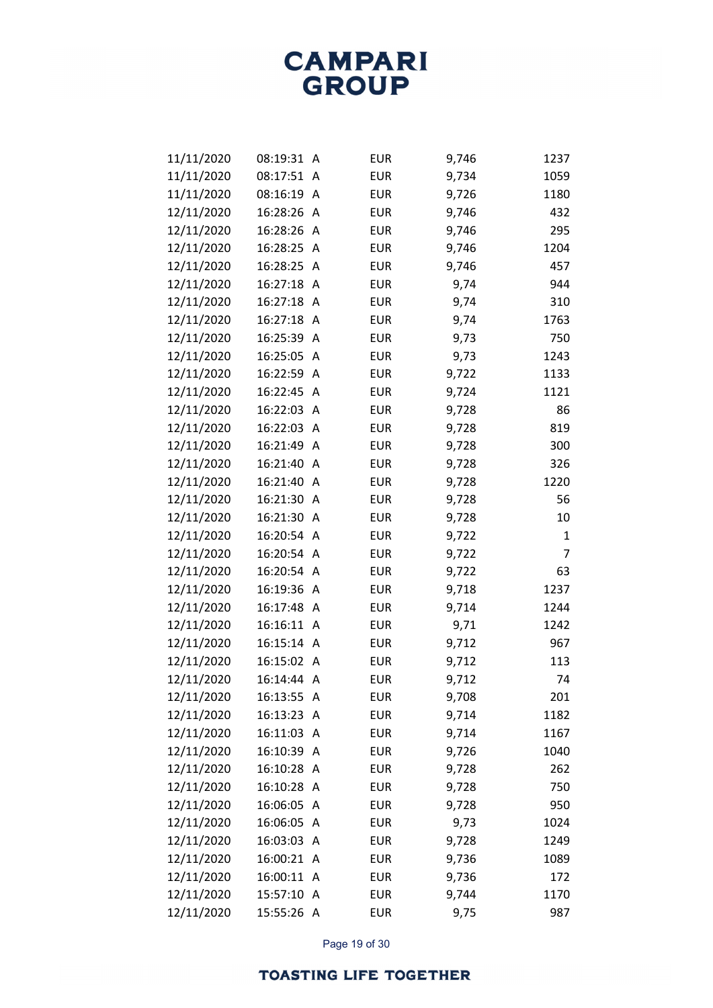| 11/11/2020 | 08:19:31   | Α              | <b>EUR</b> | 9,746 | 1237 |
|------------|------------|----------------|------------|-------|------|
| 11/11/2020 | 08:17:51   | A              | <b>EUR</b> | 9,734 | 1059 |
| 11/11/2020 | 08:16:19   | Α              | <b>EUR</b> | 9,726 | 1180 |
| 12/11/2020 | 16:28:26   | Α              | <b>EUR</b> | 9,746 | 432  |
| 12/11/2020 | 16:28:26   | A              | <b>EUR</b> | 9,746 | 295  |
| 12/11/2020 | 16:28:25   | A              | <b>EUR</b> | 9,746 | 1204 |
| 12/11/2020 | 16:28:25   | A              | <b>EUR</b> | 9,746 | 457  |
| 12/11/2020 | 16:27:18   | A              | <b>EUR</b> | 9,74  | 944  |
| 12/11/2020 | 16:27:18   | A              | <b>EUR</b> | 9,74  | 310  |
| 12/11/2020 | 16:27:18   | Α              | <b>EUR</b> | 9,74  | 1763 |
| 12/11/2020 | 16:25:39   | A              | <b>EUR</b> | 9,73  | 750  |
| 12/11/2020 | 16:25:05   | Α              | <b>EUR</b> | 9,73  | 1243 |
| 12/11/2020 | 16:22:59   | Α              | <b>EUR</b> | 9,722 | 1133 |
| 12/11/2020 | 16:22:45   | A              | <b>EUR</b> | 9,724 | 1121 |
| 12/11/2020 | 16:22:03   | Α              | <b>EUR</b> | 9,728 | 86   |
| 12/11/2020 | 16:22:03   | Α              | <b>EUR</b> | 9,728 | 819  |
| 12/11/2020 | 16:21:49   | Α              | <b>EUR</b> | 9,728 | 300  |
| 12/11/2020 | 16:21:40   | A              | <b>EUR</b> | 9,728 | 326  |
| 12/11/2020 | 16:21:40   | A              | <b>EUR</b> | 9,728 | 1220 |
| 12/11/2020 | 16:21:30   | A              | <b>EUR</b> | 9,728 | 56   |
| 12/11/2020 | 16:21:30   | A              | <b>EUR</b> | 9,728 | 10   |
| 12/11/2020 | 16:20:54   | A              | <b>EUR</b> | 9,722 | 1    |
| 12/11/2020 | 16:20:54   | Α              | <b>EUR</b> | 9,722 | 7    |
| 12/11/2020 | 16:20:54   | Α              | <b>EUR</b> | 9,722 | 63   |
| 12/11/2020 | 16:19:36   | A              | <b>EUR</b> | 9,718 | 1237 |
| 12/11/2020 | 16:17:48   | A              | <b>EUR</b> | 9,714 | 1244 |
| 12/11/2020 | 16:16:11   | Α              | <b>EUR</b> | 9,71  | 1242 |
| 12/11/2020 | 16:15:14   | Α              | <b>EUR</b> | 9,712 | 967  |
| 12/11/2020 | 16:15:02   | A              | <b>EUR</b> | 9,712 | 113  |
| 12/11/2020 | 16:14:44   | A              | <b>EUR</b> | 9,712 | 74   |
| 12/11/2020 | 16:13:55 A |                | <b>EUR</b> | 9,708 | 201  |
| 12/11/2020 | 16:13:23   | A              | <b>EUR</b> | 9,714 | 1182 |
| 12/11/2020 | 16:11:03   | Α              | <b>EUR</b> | 9,714 | 1167 |
| 12/11/2020 | 16:10:39   | Α              | <b>EUR</b> | 9,726 | 1040 |
| 12/11/2020 | 16:10:28   | A              | <b>EUR</b> | 9,728 | 262  |
| 12/11/2020 | 16:10:28   | A              | <b>EUR</b> | 9,728 | 750  |
| 12/11/2020 | 16:06:05   | Α              | <b>EUR</b> | 9,728 | 950  |
| 12/11/2020 | 16:06:05   | Α              | <b>EUR</b> | 9,73  | 1024 |
| 12/11/2020 | 16:03:03   | A              | <b>EUR</b> | 9,728 | 1249 |
| 12/11/2020 | 16:00:21   | A              | <b>EUR</b> | 9,736 | 1089 |
| 12/11/2020 | 16:00:11   | Α              | <b>EUR</b> | 9,736 | 172  |
| 12/11/2020 | 15:57:10   | Α              | <b>EUR</b> | 9,744 | 1170 |
| 12/11/2020 | 15:55:26   | $\overline{A}$ | EUR        | 9,75  | 987  |

Page 19 of 30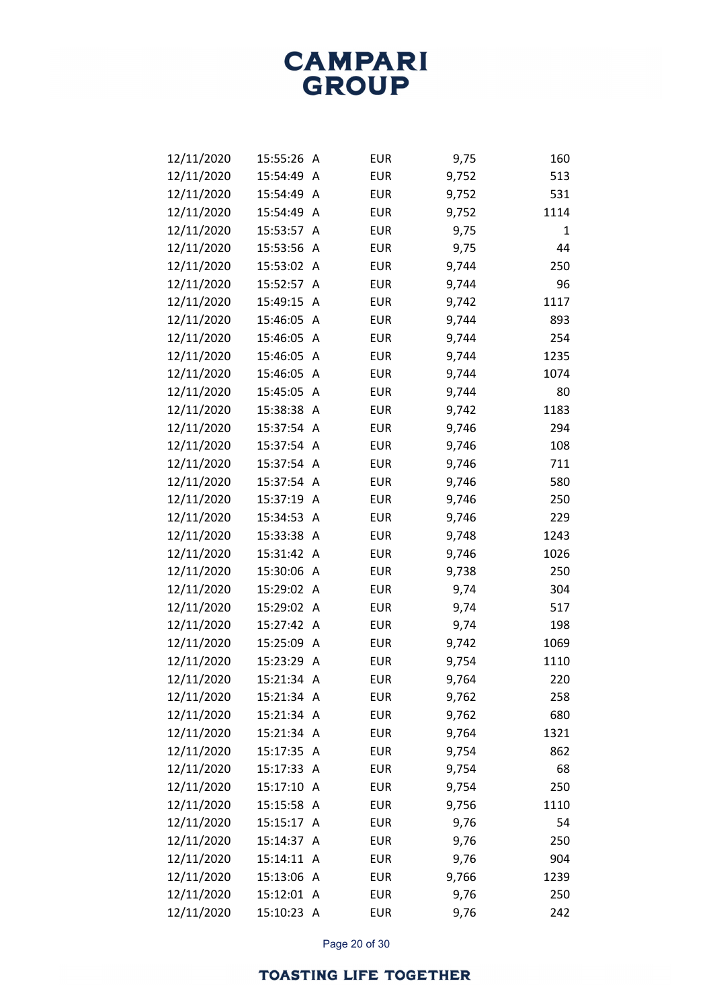| 12/11/2020 | 15:55:26   | A              | <b>EUR</b> | 9,75  | 160  |
|------------|------------|----------------|------------|-------|------|
| 12/11/2020 | 15:54:49   | Α              | <b>EUR</b> | 9,752 | 513  |
| 12/11/2020 | 15:54:49   | Α              | <b>EUR</b> | 9,752 | 531  |
| 12/11/2020 | 15:54:49   | A              | <b>EUR</b> | 9,752 | 1114 |
| 12/11/2020 | 15:53:57   | A              | <b>EUR</b> | 9,75  | 1    |
| 12/11/2020 | 15:53:56   | A              | <b>EUR</b> | 9,75  | 44   |
| 12/11/2020 | 15:53:02   | A              | <b>EUR</b> | 9,744 | 250  |
| 12/11/2020 | 15:52:57   | A              | <b>EUR</b> | 9,744 | 96   |
| 12/11/2020 | 15:49:15   | A              | <b>EUR</b> | 9,742 | 1117 |
| 12/11/2020 | 15:46:05   | A              | <b>EUR</b> | 9,744 | 893  |
| 12/11/2020 | 15:46:05   | Α              | <b>EUR</b> | 9,744 | 254  |
| 12/11/2020 | 15:46:05   | Α              | <b>EUR</b> | 9,744 | 1235 |
| 12/11/2020 | 15:46:05   | A              | <b>EUR</b> | 9,744 | 1074 |
| 12/11/2020 | 15:45:05   | A              | <b>EUR</b> | 9,744 | 80   |
| 12/11/2020 | 15:38:38   | A              | <b>EUR</b> | 9,742 | 1183 |
| 12/11/2020 | 15:37:54   | A              | <b>EUR</b> | 9,746 | 294  |
| 12/11/2020 | 15:37:54   | A              | <b>EUR</b> | 9,746 | 108  |
| 12/11/2020 | 15:37:54   | A              | <b>EUR</b> | 9,746 | 711  |
| 12/11/2020 | 15:37:54   | A              | <b>EUR</b> | 9,746 | 580  |
| 12/11/2020 | 15:37:19   | A              | <b>EUR</b> | 9,746 | 250  |
| 12/11/2020 | 15:34:53   | A              | <b>EUR</b> | 9,746 | 229  |
| 12/11/2020 | 15:33:38   | A              | <b>EUR</b> | 9,748 | 1243 |
| 12/11/2020 | 15:31:42   | A              | <b>EUR</b> | 9,746 | 1026 |
| 12/11/2020 | 15:30:06   | Α              | <b>EUR</b> | 9,738 | 250  |
| 12/11/2020 | 15:29:02   | A              | <b>EUR</b> | 9,74  | 304  |
| 12/11/2020 | 15:29:02   | A              | <b>EUR</b> | 9,74  | 517  |
| 12/11/2020 | 15:27:42   | Α              | <b>EUR</b> | 9,74  | 198  |
| 12/11/2020 | 15:25:09   | Α              | <b>EUR</b> | 9,742 | 1069 |
| 12/11/2020 | 15:23:29   | A              | <b>EUR</b> | 9,754 | 1110 |
| 12/11/2020 | 15:21:34   | A              | <b>EUR</b> | 9,764 | 220  |
| 12/11/2020 | 15:21:34 A |                | <b>EUR</b> | 9,762 | 258  |
| 12/11/2020 | 15:21:34   | $\overline{A}$ | <b>EUR</b> | 9,762 | 680  |
| 12/11/2020 | 15:21:34   | A              | <b>EUR</b> | 9,764 | 1321 |
| 12/11/2020 | 15:17:35   | $\mathsf{A}$   | <b>EUR</b> | 9,754 | 862  |
| 12/11/2020 | 15:17:33   | A              | <b>EUR</b> | 9,754 | 68   |
| 12/11/2020 | 15:17:10   | A              | <b>EUR</b> | 9,754 | 250  |
| 12/11/2020 | 15:15:58   | A              | <b>EUR</b> | 9,756 | 1110 |
| 12/11/2020 | 15:15:17   | A              | <b>EUR</b> | 9,76  | 54   |
| 12/11/2020 | 15:14:37   | A              | <b>EUR</b> | 9,76  | 250  |
| 12/11/2020 | 15:14:11   | A              | <b>EUR</b> | 9,76  | 904  |
| 12/11/2020 | 15:13:06   | A              | <b>EUR</b> | 9,766 | 1239 |
| 12/11/2020 | 15:12:01   | $\overline{A}$ | <b>EUR</b> | 9,76  | 250  |
| 12/11/2020 | 15:10:23 A |                | EUR        | 9,76  | 242  |

Page 20 of 30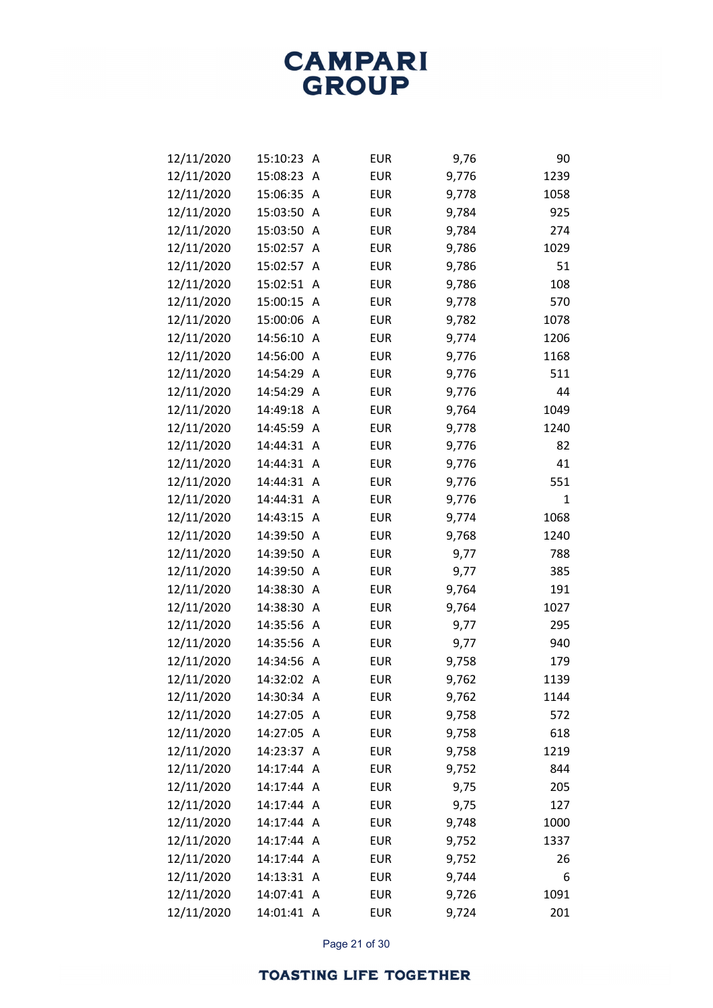| 12/11/2020 | 15:10:23   | Α | <b>EUR</b> | 9,76  | 90           |
|------------|------------|---|------------|-------|--------------|
| 12/11/2020 | 15:08:23   | A | <b>EUR</b> | 9,776 | 1239         |
| 12/11/2020 | 15:06:35   | Α | <b>EUR</b> | 9,778 | 1058         |
| 12/11/2020 | 15:03:50   | Α | <b>EUR</b> | 9,784 | 925          |
| 12/11/2020 | 15:03:50   | A | <b>EUR</b> | 9,784 | 274          |
| 12/11/2020 | 15:02:57   | A | <b>EUR</b> | 9,786 | 1029         |
| 12/11/2020 | 15:02:57   | A | <b>EUR</b> | 9,786 | 51           |
| 12/11/2020 | 15:02:51   | Α | <b>EUR</b> | 9,786 | 108          |
| 12/11/2020 | 15:00:15   | A | <b>EUR</b> | 9,778 | 570          |
| 12/11/2020 | 15:00:06   | Α | <b>EUR</b> | 9,782 | 1078         |
| 12/11/2020 | 14:56:10   | Α | <b>EUR</b> | 9,774 | 1206         |
| 12/11/2020 | 14:56:00   | Α | <b>EUR</b> | 9,776 | 1168         |
| 12/11/2020 | 14:54:29   | A | <b>EUR</b> | 9,776 | 511          |
| 12/11/2020 | 14:54:29   | A | <b>EUR</b> | 9,776 | 44           |
| 12/11/2020 | 14:49:18   | Α | <b>EUR</b> | 9,764 | 1049         |
| 12/11/2020 | 14:45:59   | Α | <b>EUR</b> | 9,778 | 1240         |
| 12/11/2020 | 14:44:31   | A | <b>EUR</b> | 9,776 | 82           |
| 12/11/2020 | 14:44:31   | A | <b>EUR</b> | 9,776 | 41           |
| 12/11/2020 | 14:44:31   | A | <b>EUR</b> | 9,776 | 551          |
| 12/11/2020 | 14:44:31   | Α | <b>EUR</b> | 9,776 | $\mathbf{1}$ |
| 12/11/2020 | 14:43:15   | A | <b>EUR</b> | 9,774 | 1068         |
| 12/11/2020 | 14:39:50   | A | <b>EUR</b> | 9,768 | 1240         |
| 12/11/2020 | 14:39:50   | Α | <b>EUR</b> | 9,77  | 788          |
| 12/11/2020 | 14:39:50   | Α | <b>EUR</b> | 9,77  | 385          |
| 12/11/2020 | 14:38:30   | A | <b>EUR</b> | 9,764 | 191          |
| 12/11/2020 | 14:38:30   | Α | <b>EUR</b> | 9,764 | 1027         |
| 12/11/2020 | 14:35:56   | Α | <b>EUR</b> | 9,77  | 295          |
| 12/11/2020 | 14:35:56   | Α | <b>EUR</b> | 9,77  | 940          |
| 12/11/2020 | 14:34:56   | A | <b>EUR</b> | 9,758 | 179          |
| 12/11/2020 | 14:32:02 A |   | <b>EUR</b> | 9,762 | 1139         |
| 12/11/2020 | 14:30:34   | Α | <b>EUR</b> | 9,762 | 1144         |
| 12/11/2020 | 14:27:05   | A | <b>EUR</b> | 9,758 | 572          |
| 12/11/2020 | 14:27:05   | A | <b>EUR</b> | 9,758 | 618          |
| 12/11/2020 | 14:23:37   | A | <b>EUR</b> | 9,758 | 1219         |
| 12/11/2020 | 14:17:44   | A | <b>EUR</b> | 9,752 | 844          |
| 12/11/2020 | 14:17:44   | A | <b>EUR</b> | 9,75  | 205          |
| 12/11/2020 | 14:17:44   | A | <b>EUR</b> | 9,75  | 127          |
| 12/11/2020 | 14:17:44   | A | <b>EUR</b> | 9,748 | 1000         |
| 12/11/2020 | 14:17:44   | A | <b>EUR</b> | 9,752 | 1337         |
| 12/11/2020 | 14:17:44   | A | <b>EUR</b> | 9,752 | 26           |
| 12/11/2020 | 14:13:31   | A | <b>EUR</b> | 9,744 | 6            |
| 12/11/2020 | 14:07:41   | A | <b>EUR</b> | 9,726 | 1091         |
| 12/11/2020 | 14:01:41 A |   | <b>EUR</b> | 9,724 | 201          |

Page 21 of 30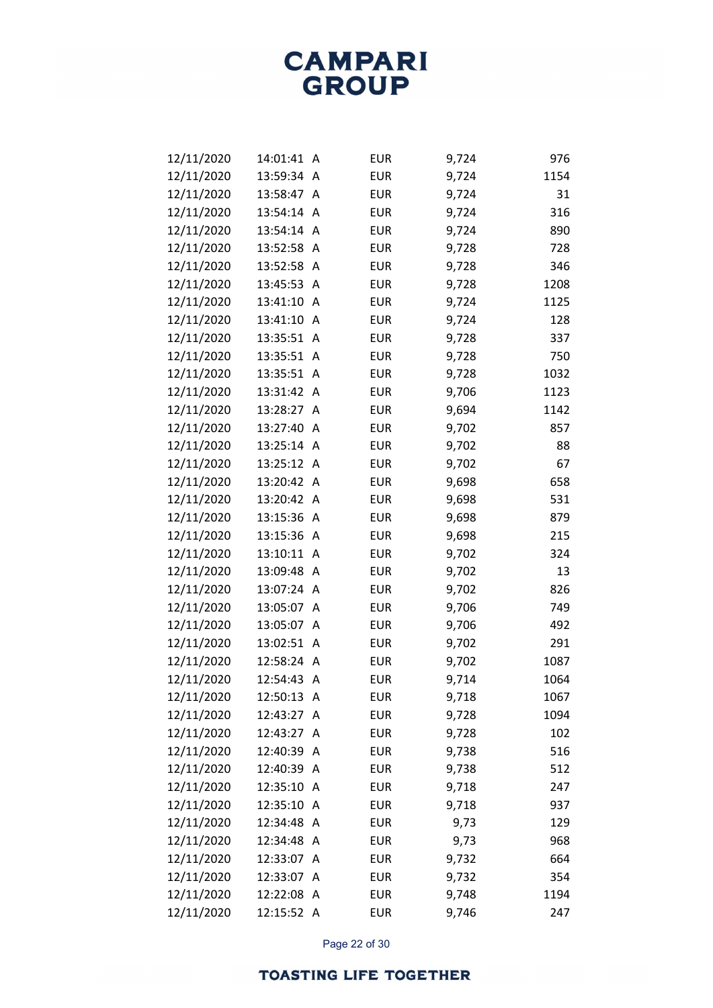| 12/11/2020 | 14:01:41   | A                       | <b>EUR</b> | 9,724 | 976  |
|------------|------------|-------------------------|------------|-------|------|
| 12/11/2020 | 13:59:34   | A                       | <b>EUR</b> | 9,724 | 1154 |
| 12/11/2020 | 13:58:47   | A                       | <b>EUR</b> | 9,724 | 31   |
| 12/11/2020 | 13:54:14   | A                       | <b>EUR</b> | 9,724 | 316  |
| 12/11/2020 | 13:54:14   | A                       | <b>EUR</b> | 9,724 | 890  |
| 12/11/2020 | 13:52:58   | A                       | <b>EUR</b> | 9,728 | 728  |
| 12/11/2020 | 13:52:58   | A                       | <b>EUR</b> | 9,728 | 346  |
| 12/11/2020 | 13:45:53   | Α                       | <b>EUR</b> | 9,728 | 1208 |
| 12/11/2020 | 13:41:10   | A                       | <b>EUR</b> | 9,724 | 1125 |
| 12/11/2020 | 13:41:10   | A                       | <b>EUR</b> | 9,724 | 128  |
| 12/11/2020 | 13:35:51   | A                       | <b>EUR</b> | 9,728 | 337  |
| 12/11/2020 | 13:35:51   | Α                       | <b>EUR</b> | 9,728 | 750  |
| 12/11/2020 | 13:35:51   | A                       | <b>EUR</b> | 9,728 | 1032 |
| 12/11/2020 | 13:31:42   | A                       | <b>EUR</b> | 9,706 | 1123 |
| 12/11/2020 | 13:28:27   | A                       | <b>EUR</b> | 9,694 | 1142 |
| 12/11/2020 | 13:27:40   | A                       | <b>EUR</b> | 9,702 | 857  |
| 12/11/2020 | 13:25:14   | A                       | <b>EUR</b> | 9,702 | 88   |
| 12/11/2020 | 13:25:12   | A                       | <b>EUR</b> | 9,702 | 67   |
| 12/11/2020 | 13:20:42   | A                       | <b>EUR</b> | 9,698 | 658  |
| 12/11/2020 | 13:20:42   | $\overline{\mathsf{A}}$ | <b>EUR</b> | 9,698 | 531  |
| 12/11/2020 | 13:15:36   | A                       | <b>EUR</b> | 9,698 | 879  |
| 12/11/2020 | 13:15:36   | A                       | <b>EUR</b> | 9,698 | 215  |
| 12/11/2020 | 13:10:11   | $\wedge$                | <b>EUR</b> | 9,702 | 324  |
| 12/11/2020 | 13:09:48   | Α                       | <b>EUR</b> | 9,702 | 13   |
| 12/11/2020 | 13:07:24   | A                       | <b>EUR</b> | 9,702 | 826  |
| 12/11/2020 | 13:05:07   | Α                       | <b>EUR</b> | 9,706 | 749  |
| 12/11/2020 | 13:05:07   | A                       | <b>EUR</b> | 9,706 | 492  |
| 12/11/2020 | 13:02:51   | $\overline{\mathsf{A}}$ | <b>EUR</b> | 9,702 | 291  |
| 12/11/2020 | 12:58:24   | A                       | <b>EUR</b> | 9,702 | 1087 |
| 12/11/2020 | 12:54:43   | Α                       | <b>EUR</b> | 9,714 | 1064 |
| 12/11/2020 | 12:50:13 A |                         | <b>EUR</b> | 9,718 | 1067 |
| 12/11/2020 | 12:43:27   | Α                       | <b>EUR</b> | 9,728 | 1094 |
| 12/11/2020 | 12:43:27   | A                       | <b>EUR</b> | 9,728 | 102  |
| 12/11/2020 | 12:40:39   | Α                       | <b>EUR</b> | 9,738 | 516  |
| 12/11/2020 | 12:40:39   | A                       | <b>EUR</b> | 9,738 | 512  |
| 12/11/2020 | 12:35:10   | A                       | <b>EUR</b> | 9,718 | 247  |
| 12/11/2020 | 12:35:10   | A                       | <b>EUR</b> | 9,718 | 937  |
| 12/11/2020 | 12:34:48   | A                       | <b>EUR</b> | 9,73  | 129  |
| 12/11/2020 | 12:34:48   | A                       | <b>EUR</b> | 9,73  | 968  |
| 12/11/2020 | 12:33:07   | A                       | <b>EUR</b> | 9,732 | 664  |
| 12/11/2020 | 12:33:07   | A                       | <b>EUR</b> | 9,732 | 354  |
| 12/11/2020 | 12:22:08   | A                       | <b>EUR</b> | 9,748 | 1194 |
| 12/11/2020 | 12:15:52 A |                         | <b>EUR</b> | 9,746 | 247  |

Page 22 of 30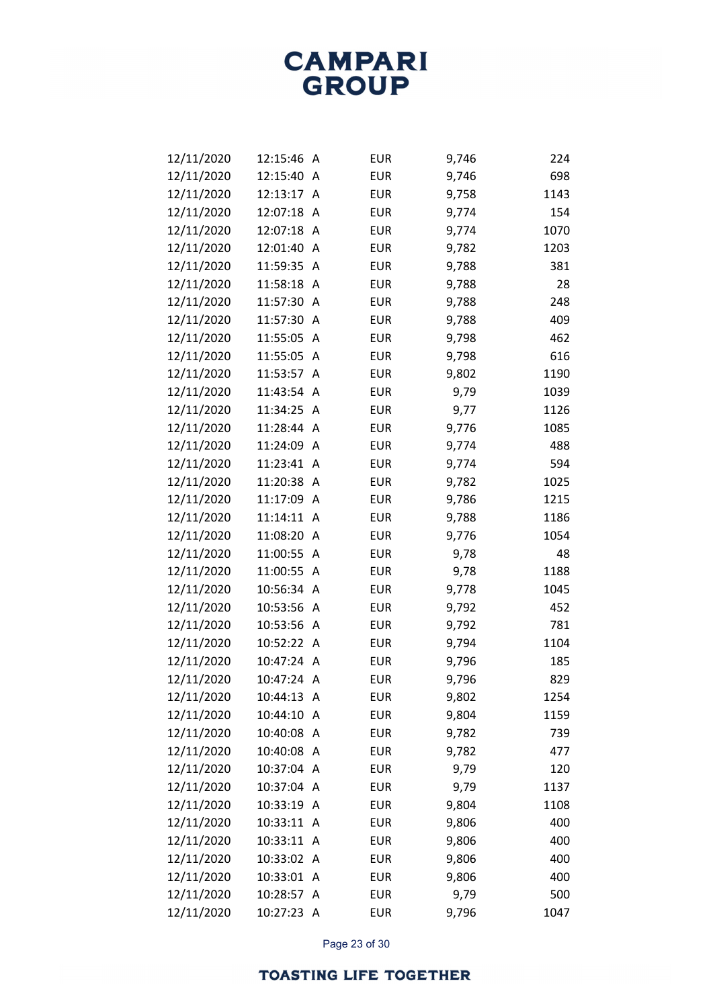| 12/11/2020 | 12:15:46   | A            | <b>EUR</b> | 9,746 | 224  |
|------------|------------|--------------|------------|-------|------|
| 12/11/2020 | 12:15:40   | A            | <b>EUR</b> | 9,746 | 698  |
| 12/11/2020 | 12:13:17   | Α            | <b>EUR</b> | 9,758 | 1143 |
| 12/11/2020 | 12:07:18   | Α            | <b>EUR</b> | 9,774 | 154  |
| 12/11/2020 | 12:07:18   | A            | <b>EUR</b> | 9,774 | 1070 |
| 12/11/2020 | 12:01:40   | A            | <b>EUR</b> | 9,782 | 1203 |
| 12/11/2020 | 11:59:35   | Α            | <b>EUR</b> | 9,788 | 381  |
| 12/11/2020 | 11:58:18   | Α            | <b>EUR</b> | 9,788 | 28   |
| 12/11/2020 | 11:57:30   | A            | <b>EUR</b> | 9,788 | 248  |
| 12/11/2020 | 11:57:30   | A            | <b>EUR</b> | 9,788 | 409  |
| 12/11/2020 | 11:55:05   | Α            | <b>EUR</b> | 9,798 | 462  |
| 12/11/2020 | 11:55:05   | Α            | <b>EUR</b> | 9,798 | 616  |
| 12/11/2020 | 11:53:57   | A            | <b>EUR</b> | 9,802 | 1190 |
| 12/11/2020 | 11:43:54   | A            | <b>EUR</b> | 9,79  | 1039 |
| 12/11/2020 | 11:34:25   | A            | <b>EUR</b> | 9,77  | 1126 |
| 12/11/2020 | 11:28:44   | A            | <b>EUR</b> | 9,776 | 1085 |
| 12/11/2020 | 11:24:09   | A            | <b>EUR</b> | 9,774 | 488  |
| 12/11/2020 | 11:23:41   | A            | <b>EUR</b> | 9,774 | 594  |
| 12/11/2020 | 11:20:38   | Α            | <b>EUR</b> | 9,782 | 1025 |
| 12/11/2020 | 11:17:09   | Α            | <b>EUR</b> | 9,786 | 1215 |
| 12/11/2020 | 11:14:11   | A            | <b>EUR</b> | 9,788 | 1186 |
| 12/11/2020 | 11:08:20   | A            | <b>EUR</b> | 9,776 | 1054 |
| 12/11/2020 | 11:00:55   | Α            | <b>EUR</b> | 9,78  | 48   |
| 12/11/2020 | 11:00:55   | Α            | <b>EUR</b> | 9,78  | 1188 |
| 12/11/2020 | 10:56:34   | A            | <b>EUR</b> | 9,778 | 1045 |
| 12/11/2020 | 10:53:56   | Α            | <b>EUR</b> | 9,792 | 452  |
| 12/11/2020 | 10:53:56   | A            | <b>EUR</b> | 9,792 | 781  |
| 12/11/2020 | 10:52:22 A |              | <b>EUR</b> | 9,794 | 1104 |
| 12/11/2020 | 10:47:24   | A            | <b>EUR</b> | 9,796 | 185  |
| 12/11/2020 | 10:47:24   | Α            | <b>EUR</b> | 9,796 | 829  |
| 12/11/2020 | 10:44:13   | Α            | <b>EUR</b> | 9,802 | 1254 |
| 12/11/2020 | 10:44:10   | Α            | <b>EUR</b> | 9,804 | 1159 |
| 12/11/2020 | 10:40:08   | A            | <b>EUR</b> | 9,782 | 739  |
| 12/11/2020 | 10:40:08   | A            | <b>EUR</b> | 9,782 | 477  |
| 12/11/2020 | 10:37:04   | A            | <b>EUR</b> | 9,79  | 120  |
| 12/11/2020 | 10:37:04   | A            | <b>EUR</b> | 9,79  | 1137 |
| 12/11/2020 | 10:33:19   | A            | <b>EUR</b> | 9,804 | 1108 |
| 12/11/2020 | 10:33:11   | A            | <b>EUR</b> | 9,806 | 400  |
| 12/11/2020 | 10:33:11   | $\mathsf{A}$ | <b>EUR</b> | 9,806 | 400  |
| 12/11/2020 | 10:33:02   | A            | <b>EUR</b> | 9,806 | 400  |
| 12/11/2020 | 10:33:01   | A            | <b>EUR</b> | 9,806 | 400  |
| 12/11/2020 | 10:28:57   | Α            | <b>EUR</b> | 9,79  | 500  |
| 12/11/2020 | 10:27:23 A |              | <b>EUR</b> | 9,796 | 1047 |

Page 23 of 30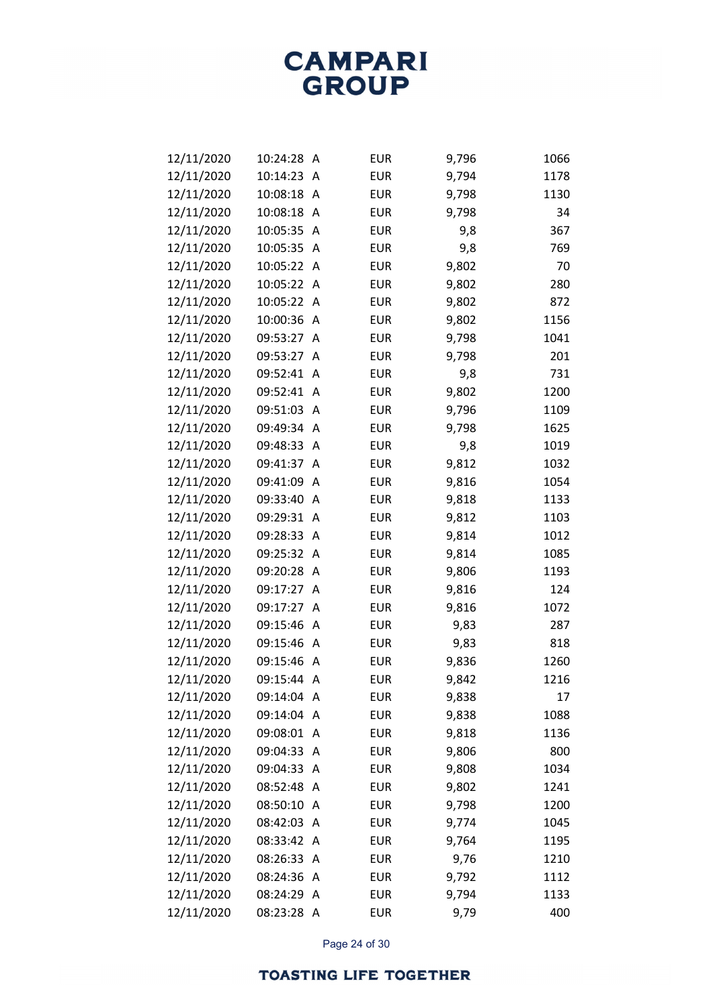| 12/11/2020 | 10:24:28   | Α        | <b>EUR</b> | 9,796 | 1066 |
|------------|------------|----------|------------|-------|------|
| 12/11/2020 | 10:14:23   | Α        | <b>EUR</b> | 9,794 | 1178 |
| 12/11/2020 | 10:08:18   | Α        | <b>EUR</b> | 9,798 | 1130 |
| 12/11/2020 | 10:08:18   | Α        | <b>EUR</b> | 9,798 | 34   |
| 12/11/2020 | 10:05:35   | A        | <b>EUR</b> | 9,8   | 367  |
| 12/11/2020 | 10:05:35   | Α        | <b>EUR</b> | 9,8   | 769  |
| 12/11/2020 | 10:05:22   | Α        | <b>EUR</b> | 9,802 | 70   |
| 12/11/2020 | 10:05:22   | $\wedge$ | <b>EUR</b> | 9,802 | 280  |
| 12/11/2020 | 10:05:22   | A        | <b>EUR</b> | 9,802 | 872  |
| 12/11/2020 | 10:00:36   | Α        | <b>EUR</b> | 9,802 | 1156 |
| 12/11/2020 | 09:53:27   | Α        | <b>EUR</b> | 9,798 | 1041 |
| 12/11/2020 | 09:53:27   | Α        | <b>EUR</b> | 9,798 | 201  |
| 12/11/2020 | 09:52:41   | A        | <b>EUR</b> | 9,8   | 731  |
| 12/11/2020 | 09:52:41   | Α        | <b>EUR</b> | 9,802 | 1200 |
| 12/11/2020 | 09:51:03   | Α        | <b>EUR</b> | 9,796 | 1109 |
| 12/11/2020 | 09:49:34   | Α        | <b>EUR</b> | 9,798 | 1625 |
| 12/11/2020 | 09:48:33   | A        | <b>EUR</b> | 9,8   | 1019 |
| 12/11/2020 | 09:41:37   | Α        | <b>EUR</b> | 9,812 | 1032 |
| 12/11/2020 | 09:41:09   | Α        | <b>EUR</b> | 9,816 | 1054 |
| 12/11/2020 | 09:33:40   | Α        | <b>EUR</b> | 9,818 | 1133 |
| 12/11/2020 | 09:29:31   | Α        | <b>EUR</b> | 9,812 | 1103 |
| 12/11/2020 | 09:28:33   | Α        | <b>EUR</b> | 9,814 | 1012 |
| 12/11/2020 | 09:25:32   | Α        | <b>EUR</b> | 9,814 | 1085 |
| 12/11/2020 | 09:20:28   | Α        | <b>EUR</b> | 9,806 | 1193 |
| 12/11/2020 | 09:17:27   | Α        | <b>EUR</b> | 9,816 | 124  |
| 12/11/2020 | 09:17:27   | Α        | <b>EUR</b> | 9,816 | 1072 |
| 12/11/2020 | 09:15:46   | Α        | <b>EUR</b> | 9,83  | 287  |
| 12/11/2020 | 09:15:46   | Α        | <b>EUR</b> | 9,83  | 818  |
| 12/11/2020 | 09:15:46   | A        | <b>EUR</b> | 9,836 | 1260 |
| 12/11/2020 | 09:15:44   | A        | <b>EUR</b> | 9,842 | 1216 |
| 12/11/2020 | 09:14:04   | Α        | <b>EUR</b> | 9,838 | 17   |
| 12/11/2020 | 09:14:04   | A        | <b>EUR</b> | 9,838 | 1088 |
| 12/11/2020 | 09:08:01   | A        | <b>EUR</b> | 9,818 | 1136 |
| 12/11/2020 | 09:04:33   | Α        | <b>EUR</b> | 9,806 | 800  |
| 12/11/2020 | 09:04:33   | Α        | <b>EUR</b> | 9,808 | 1034 |
| 12/11/2020 | 08:52:48   | A        | <b>EUR</b> | 9,802 | 1241 |
| 12/11/2020 | 08:50:10   | Α        | <b>EUR</b> | 9,798 | 1200 |
| 12/11/2020 | 08:42:03   | Α        | <b>EUR</b> | 9,774 | 1045 |
| 12/11/2020 | 08:33:42   | A        | <b>EUR</b> | 9,764 | 1195 |
| 12/11/2020 | 08:26:33   | Α        | <b>EUR</b> | 9,76  | 1210 |
| 12/11/2020 | 08:24:36   | Α        | <b>EUR</b> | 9,792 | 1112 |
| 12/11/2020 | 08:24:29   | Α        | <b>EUR</b> | 9,794 | 1133 |
| 12/11/2020 | 08:23:28 A |          | EUR        | 9,79  | 400  |

Page 24 of 30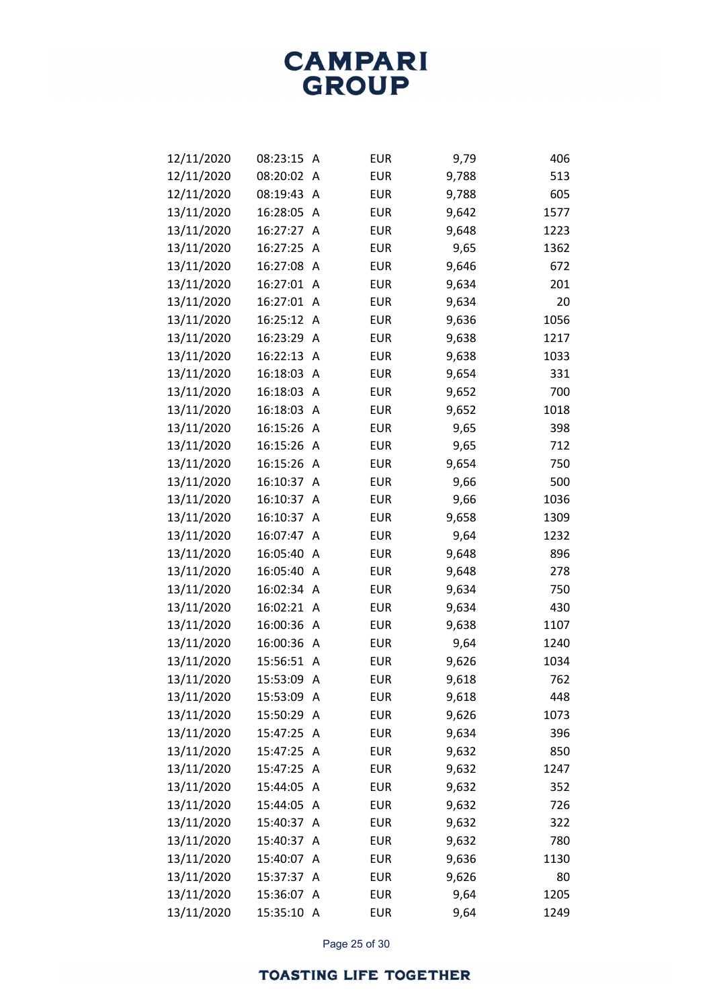| 12/11/2020 | 08:23:15 | Α              | <b>EUR</b> | 9,79  | 406  |
|------------|----------|----------------|------------|-------|------|
| 12/11/2020 | 08:20:02 | Α              | <b>EUR</b> | 9,788 | 513  |
| 12/11/2020 | 08:19:43 | Α              | <b>EUR</b> | 9,788 | 605  |
| 13/11/2020 | 16:28:05 | Α              | <b>EUR</b> | 9,642 | 1577 |
| 13/11/2020 | 16:27:27 | Α              | <b>EUR</b> | 9,648 | 1223 |
| 13/11/2020 | 16:27:25 | Α              | <b>EUR</b> | 9,65  | 1362 |
| 13/11/2020 | 16:27:08 | Α              | <b>EUR</b> | 9,646 | 672  |
| 13/11/2020 | 16:27:01 | Α              | <b>EUR</b> | 9,634 | 201  |
| 13/11/2020 | 16:27:01 | A              | <b>EUR</b> | 9,634 | 20   |
| 13/11/2020 | 16:25:12 | Α              | <b>EUR</b> | 9,636 | 1056 |
| 13/11/2020 | 16:23:29 | Α              | <b>EUR</b> | 9,638 | 1217 |
| 13/11/2020 | 16:22:13 | Α              | <b>EUR</b> | 9,638 | 1033 |
| 13/11/2020 | 16:18:03 | A              | <b>EUR</b> | 9,654 | 331  |
| 13/11/2020 | 16:18:03 | Α              | <b>EUR</b> | 9,652 | 700  |
| 13/11/2020 | 16:18:03 | Α              | <b>EUR</b> | 9,652 | 1018 |
| 13/11/2020 | 16:15:26 | Α              | <b>EUR</b> | 9,65  | 398  |
| 13/11/2020 | 16:15:26 | A              | <b>EUR</b> | 9,65  | 712  |
| 13/11/2020 | 16:15:26 | Α              | <b>EUR</b> | 9,654 | 750  |
| 13/11/2020 | 16:10:37 | Α              | <b>EUR</b> | 9,66  | 500  |
| 13/11/2020 | 16:10:37 | Α              | <b>EUR</b> | 9,66  | 1036 |
| 13/11/2020 | 16:10:37 | Α              | <b>EUR</b> | 9,658 | 1309 |
| 13/11/2020 | 16:07:47 | Α              | <b>EUR</b> | 9,64  | 1232 |
| 13/11/2020 | 16:05:40 | Α              | <b>EUR</b> | 9,648 | 896  |
| 13/11/2020 | 16:05:40 | Α              | <b>EUR</b> | 9,648 | 278  |
| 13/11/2020 | 16:02:34 | Α              | <b>EUR</b> | 9,634 | 750  |
| 13/11/2020 | 16:02:21 | Α              | <b>EUR</b> | 9,634 | 430  |
| 13/11/2020 | 16:00:36 | Α              | <b>EUR</b> | 9,638 | 1107 |
| 13/11/2020 | 16:00:36 | Α              | <b>EUR</b> | 9,64  | 1240 |
| 13/11/2020 | 15:56:51 | Α              | <b>EUR</b> | 9,626 | 1034 |
| 13/11/2020 | 15:53:09 | Α              | <b>EUR</b> | 9,618 | 762  |
| 13/11/2020 | 15:53:09 | A              | <b>EUR</b> | 9,618 | 448  |
| 13/11/2020 | 15:50:29 | Α              | <b>EUR</b> | 9,626 | 1073 |
| 13/11/2020 | 15:47:25 | A              | <b>EUR</b> | 9,634 | 396  |
| 13/11/2020 | 15:47:25 | Α              | <b>EUR</b> | 9,632 | 850  |
| 13/11/2020 | 15:47:25 | A              | <b>EUR</b> | 9,632 | 1247 |
| 13/11/2020 | 15:44:05 | A              | <b>EUR</b> | 9,632 | 352  |
| 13/11/2020 | 15:44:05 | A              | <b>EUR</b> | 9,632 | 726  |
| 13/11/2020 | 15:40:37 | Α              | <b>EUR</b> | 9,632 | 322  |
| 13/11/2020 | 15:40:37 | Α              | <b>EUR</b> | 9,632 | 780  |
| 13/11/2020 | 15:40:07 | Α              | <b>EUR</b> | 9,636 | 1130 |
| 13/11/2020 | 15:37:37 | Α              | <b>EUR</b> | 9,626 | 80   |
| 13/11/2020 | 15:36:07 | Α              | <b>EUR</b> | 9,64  | 1205 |
| 13/11/2020 | 15:35:10 | $\overline{A}$ | <b>EUR</b> | 9,64  | 1249 |

Page 25 of 30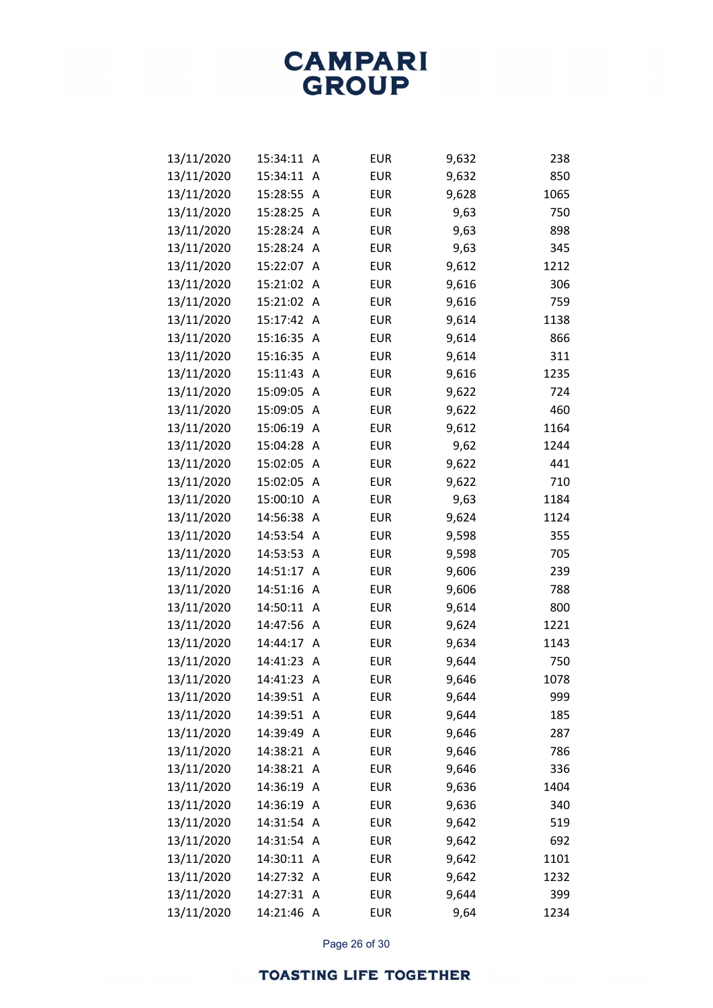| 13/11/2020 | 15:34:11   | A | <b>EUR</b> | 9,632 | 238  |
|------------|------------|---|------------|-------|------|
| 13/11/2020 | 15:34:11   | A | <b>EUR</b> | 9,632 | 850  |
| 13/11/2020 | 15:28:55   | Α | <b>EUR</b> | 9,628 | 1065 |
| 13/11/2020 | 15:28:25   | Α | <b>EUR</b> | 9,63  | 750  |
| 13/11/2020 | 15:28:24   | A | <b>EUR</b> | 9,63  | 898  |
| 13/11/2020 | 15:28:24   | A | <b>EUR</b> | 9,63  | 345  |
| 13/11/2020 | 15:22:07   | A | <b>EUR</b> | 9,612 | 1212 |
| 13/11/2020 | 15:21:02   | Α | <b>EUR</b> | 9,616 | 306  |
| 13/11/2020 | 15:21:02   | A | <b>EUR</b> | 9,616 | 759  |
| 13/11/2020 | 15:17:42   | Α | <b>EUR</b> | 9,614 | 1138 |
| 13/11/2020 | 15:16:35   | Α | <b>EUR</b> | 9,614 | 866  |
| 13/11/2020 | 15:16:35   | Α | <b>EUR</b> | 9,614 | 311  |
| 13/11/2020 | 15:11:43   | A | <b>EUR</b> | 9,616 | 1235 |
| 13/11/2020 | 15:09:05   | Α | <b>EUR</b> | 9,622 | 724  |
| 13/11/2020 | 15:09:05   | Α | <b>EUR</b> | 9,622 | 460  |
| 13/11/2020 | 15:06:19   | Α | <b>EUR</b> | 9,612 | 1164 |
| 13/11/2020 | 15:04:28   | A | <b>EUR</b> | 9,62  | 1244 |
| 13/11/2020 | 15:02:05   | Α | <b>EUR</b> | 9,622 | 441  |
| 13/11/2020 | 15:02:05   | Α | <b>EUR</b> | 9,622 | 710  |
| 13/11/2020 | 15:00:10   | Α | <b>EUR</b> | 9,63  | 1184 |
| 13/11/2020 | 14:56:38   | A | <b>EUR</b> | 9,624 | 1124 |
| 13/11/2020 | 14:53:54   | A | <b>EUR</b> | 9,598 | 355  |
| 13/11/2020 | 14:53:53   | Α | <b>EUR</b> | 9,598 | 705  |
| 13/11/2020 | 14:51:17   | Α | <b>EUR</b> | 9,606 | 239  |
| 13/11/2020 | 14:51:16   | A | <b>EUR</b> | 9,606 | 788  |
| 13/11/2020 | 14:50:11   | Α | <b>EUR</b> | 9,614 | 800  |
| 13/11/2020 | 14:47:56   | Α | <b>EUR</b> | 9,624 | 1221 |
| 13/11/2020 | 14:44:17   | Α | <b>EUR</b> | 9,634 | 1143 |
| 13/11/2020 | 14:41:23   | A | <b>EUR</b> | 9,644 | 750  |
| 13/11/2020 | 14:41:23   | Α | <b>EUR</b> | 9,646 | 1078 |
| 13/11/2020 | 14:39:51 A |   | <b>EUR</b> | 9,644 | 999  |
| 13/11/2020 | 14:39:51   | A | <b>EUR</b> | 9,644 | 185  |
| 13/11/2020 | 14:39:49   | A | <b>EUR</b> | 9,646 | 287  |
| 13/11/2020 | 14:38:21   | A | <b>EUR</b> | 9,646 | 786  |
| 13/11/2020 | 14:38:21   | A | <b>EUR</b> | 9,646 | 336  |
| 13/11/2020 | 14:36:19   | A | <b>EUR</b> | 9,636 | 1404 |
| 13/11/2020 | 14:36:19   | A | <b>EUR</b> | 9,636 | 340  |
| 13/11/2020 | 14:31:54   | Α | <b>EUR</b> | 9,642 | 519  |
| 13/11/2020 | 14:31:54   | A | <b>EUR</b> | 9,642 | 692  |
| 13/11/2020 | 14:30:11   | A | <b>EUR</b> | 9,642 | 1101 |
| 13/11/2020 | 14:27:32 A |   | <b>EUR</b> | 9,642 | 1232 |
| 13/11/2020 | 14:27:31   | A | <b>EUR</b> | 9,644 | 399  |
| 13/11/2020 | 14:21:46 A |   | <b>EUR</b> | 9,64  | 1234 |

Page 26 of 30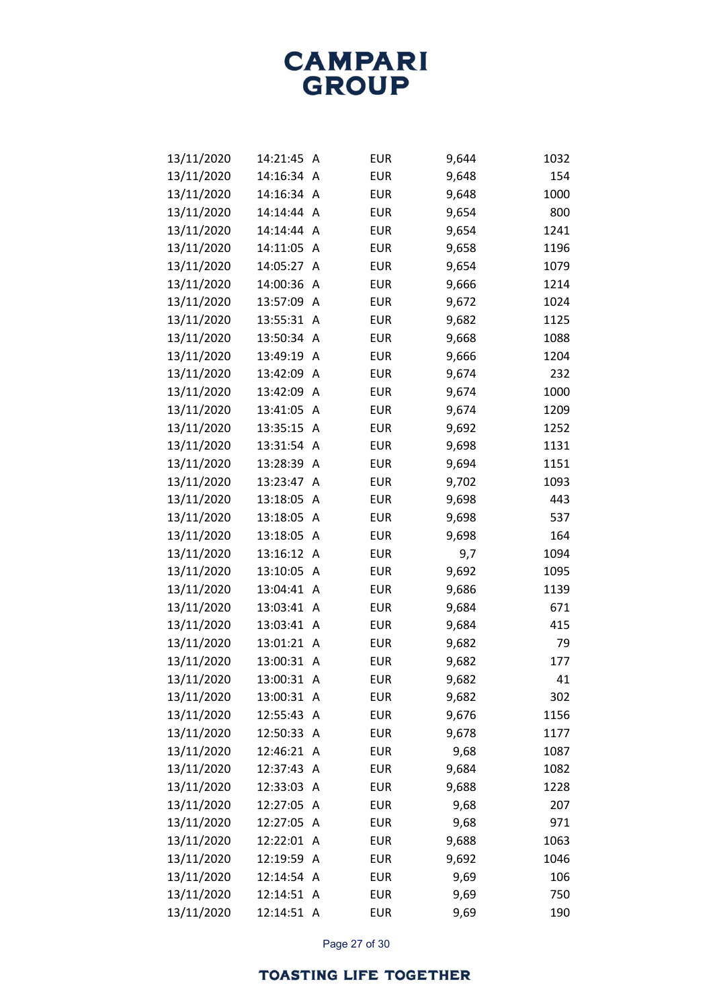| 13/11/2020 | 14:21:45   | A                         | <b>EUR</b> | 9,644 | 1032 |
|------------|------------|---------------------------|------------|-------|------|
| 13/11/2020 | 14:16:34   | Α                         | <b>EUR</b> | 9,648 | 154  |
| 13/11/2020 | 14:16:34   | A                         | <b>EUR</b> | 9,648 | 1000 |
| 13/11/2020 | 14:14:44   | A                         | <b>EUR</b> | 9,654 | 800  |
| 13/11/2020 | 14:14:44   | Α                         | <b>EUR</b> | 9,654 | 1241 |
| 13/11/2020 | 14:11:05   | A                         | <b>EUR</b> | 9,658 | 1196 |
| 13/11/2020 | 14:05:27   | Α                         | <b>EUR</b> | 9,654 | 1079 |
| 13/11/2020 | 14:00:36   | Α                         | <b>EUR</b> | 9,666 | 1214 |
| 13/11/2020 | 13:57:09   | A                         | <b>EUR</b> | 9,672 | 1024 |
| 13/11/2020 | 13:55:31   | Α                         | <b>EUR</b> | 9,682 | 1125 |
| 13/11/2020 | 13:50:34   | Α                         | <b>EUR</b> | 9,668 | 1088 |
| 13/11/2020 | 13:49:19   | Α                         | <b>EUR</b> | 9,666 | 1204 |
| 13/11/2020 | 13:42:09   | A                         | <b>EUR</b> | 9,674 | 232  |
| 13/11/2020 | 13:42:09   | A                         | <b>EUR</b> | 9,674 | 1000 |
| 13/11/2020 | 13:41:05   | Α                         | <b>EUR</b> | 9,674 | 1209 |
| 13/11/2020 | 13:35:15   | Α                         | <b>EUR</b> | 9,692 | 1252 |
| 13/11/2020 | 13:31:54   | A                         | <b>EUR</b> | 9,698 | 1131 |
| 13/11/2020 | 13:28:39   | Α                         | <b>EUR</b> | 9,694 | 1151 |
| 13/11/2020 | 13:23:47   | Α                         | <b>EUR</b> | 9,702 | 1093 |
| 13/11/2020 | 13:18:05   | Α                         | <b>EUR</b> | 9,698 | 443  |
| 13/11/2020 | 13:18:05   | A                         | <b>EUR</b> | 9,698 | 537  |
| 13/11/2020 | 13:18:05   | $\boldsymbol{\mathsf{A}}$ | <b>EUR</b> | 9,698 | 164  |
| 13/11/2020 | 13:16:12   | Α                         | <b>EUR</b> | 9,7   | 1094 |
| 13/11/2020 | 13:10:05   | Α                         | <b>EUR</b> | 9,692 | 1095 |
| 13/11/2020 | 13:04:41   | A                         | <b>EUR</b> | 9,686 | 1139 |
| 13/11/2020 | 13:03:41   | Α                         | <b>EUR</b> | 9,684 | 671  |
| 13/11/2020 | 13:03:41   | Α                         | <b>EUR</b> | 9,684 | 415  |
| 13/11/2020 | 13:01:21   | Α                         | <b>EUR</b> | 9,682 | 79   |
| 13/11/2020 | 13:00:31   | A                         | <b>EUR</b> | 9,682 | 177  |
| 13/11/2020 | 13:00:31   | Α                         | <b>EUR</b> | 9,682 | 41   |
| 13/11/2020 | 13:00:31   | A                         | <b>EUR</b> | 9,682 | 302  |
| 13/11/2020 | 12:55:43   | Α                         | <b>EUR</b> | 9,676 | 1156 |
| 13/11/2020 | 12:50:33   | Α                         | <b>EUR</b> | 9,678 | 1177 |
| 13/11/2020 | 12:46:21   | Α                         | <b>EUR</b> | 9,68  | 1087 |
| 13/11/2020 | 12:37:43   | A                         | <b>EUR</b> | 9,684 | 1082 |
| 13/11/2020 | 12:33:03   | A                         | <b>EUR</b> | 9,688 | 1228 |
| 13/11/2020 | 12:27:05   | A                         | <b>EUR</b> | 9,68  | 207  |
| 13/11/2020 | 12:27:05   | A                         | <b>EUR</b> | 9,68  | 971  |
| 13/11/2020 | 12:22:01   | A                         | <b>EUR</b> | 9,688 | 1063 |
| 13/11/2020 | 12:19:59   | A                         | <b>EUR</b> | 9,692 | 1046 |
| 13/11/2020 | 12:14:54   | A                         | <b>EUR</b> | 9,69  | 106  |
| 13/11/2020 | 12:14:51   | A                         | <b>EUR</b> | 9,69  | 750  |
| 13/11/2020 | 12:14:51 A |                           | EUR        | 9,69  | 190  |

Page 27 of 30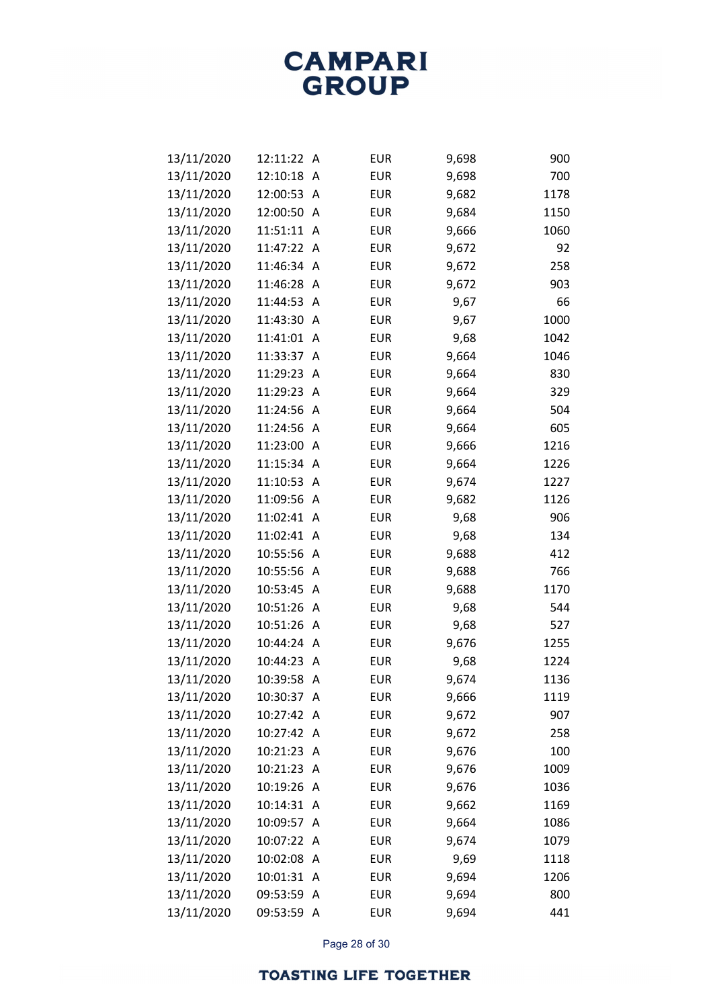| 13/11/2020 | 12:11:22 | A                       | <b>EUR</b> | 9,698 | 900  |
|------------|----------|-------------------------|------------|-------|------|
| 13/11/2020 | 12:10:18 | Α                       | <b>EUR</b> | 9,698 | 700  |
| 13/11/2020 | 12:00:53 | Α                       | <b>EUR</b> | 9,682 | 1178 |
| 13/11/2020 | 12:00:50 | Α                       | <b>EUR</b> | 9,684 | 1150 |
| 13/11/2020 | 11:51:11 | A                       | <b>EUR</b> | 9,666 | 1060 |
| 13/11/2020 | 11:47:22 | Α                       | <b>EUR</b> | 9,672 | 92   |
| 13/11/2020 | 11:46:34 | Α                       | <b>EUR</b> | 9,672 | 258  |
| 13/11/2020 | 11:46:28 | Α                       | <b>EUR</b> | 9,672 | 903  |
| 13/11/2020 | 11:44:53 | A                       | <b>EUR</b> | 9,67  | 66   |
| 13/11/2020 | 11:43:30 | A                       | <b>EUR</b> | 9,67  | 1000 |
| 13/11/2020 | 11:41:01 | Α                       | <b>EUR</b> | 9,68  | 1042 |
| 13/11/2020 | 11:33:37 | Α                       | <b>EUR</b> | 9,664 | 1046 |
| 13/11/2020 | 11:29:23 | A                       | <b>EUR</b> | 9,664 | 830  |
| 13/11/2020 | 11:29:23 | Α                       | <b>EUR</b> | 9,664 | 329  |
| 13/11/2020 | 11:24:56 | Α                       | <b>EUR</b> | 9,664 | 504  |
| 13/11/2020 | 11:24:56 | Α                       | <b>EUR</b> | 9,664 | 605  |
| 13/11/2020 | 11:23:00 | A                       | <b>EUR</b> | 9,666 | 1216 |
| 13/11/2020 | 11:15:34 | A                       | <b>EUR</b> | 9,664 | 1226 |
| 13/11/2020 | 11:10:53 | Α                       | <b>EUR</b> | 9,674 | 1227 |
| 13/11/2020 | 11:09:56 | Α                       | <b>EUR</b> | 9,682 | 1126 |
| 13/11/2020 | 11:02:41 | A                       | <b>EUR</b> | 9,68  | 906  |
| 13/11/2020 | 11:02:41 | A                       | <b>EUR</b> | 9,68  | 134  |
| 13/11/2020 | 10:55:56 | Α                       | <b>EUR</b> | 9,688 | 412  |
| 13/11/2020 | 10:55:56 | Α                       | <b>EUR</b> | 9,688 | 766  |
| 13/11/2020 | 10:53:45 | A                       | <b>EUR</b> | 9,688 | 1170 |
| 13/11/2020 | 10:51:26 | Α                       | <b>EUR</b> | 9,68  | 544  |
| 13/11/2020 | 10:51:26 | Α                       | <b>EUR</b> | 9,68  | 527  |
| 13/11/2020 | 10:44:24 | Α                       | <b>EUR</b> | 9,676 | 1255 |
| 13/11/2020 | 10:44:23 | A                       | <b>EUR</b> | 9,68  | 1224 |
| 13/11/2020 | 10:39:58 | Α                       | <b>EUR</b> | 9,674 | 1136 |
| 13/11/2020 | 10:30:37 | Α                       | <b>EUR</b> | 9,666 | 1119 |
| 13/11/2020 | 10:27:42 | A                       | <b>EUR</b> | 9,672 | 907  |
| 13/11/2020 | 10:27:42 | A                       | <b>EUR</b> | 9,672 | 258  |
| 13/11/2020 | 10:21:23 | Α                       | <b>EUR</b> | 9,676 | 100  |
| 13/11/2020 | 10:21:23 | A                       | <b>EUR</b> | 9,676 | 1009 |
| 13/11/2020 | 10:19:26 | A                       | <b>EUR</b> | 9,676 | 1036 |
| 13/11/2020 | 10:14:31 | Α                       | <b>EUR</b> | 9,662 | 1169 |
| 13/11/2020 | 10:09:57 | Α                       | <b>EUR</b> | 9,664 | 1086 |
| 13/11/2020 | 10:07:22 | A                       | <b>EUR</b> | 9,674 | 1079 |
| 13/11/2020 | 10:02:08 | A                       | <b>EUR</b> | 9,69  | 1118 |
| 13/11/2020 | 10:01:31 | Α                       | <b>EUR</b> | 9,694 | 1206 |
| 13/11/2020 | 09:53:59 | Α                       | <b>EUR</b> | 9,694 | 800  |
| 13/11/2020 | 09:53:59 | $\overline{\mathsf{A}}$ | <b>EUR</b> | 9,694 | 441  |

Page 28 of 30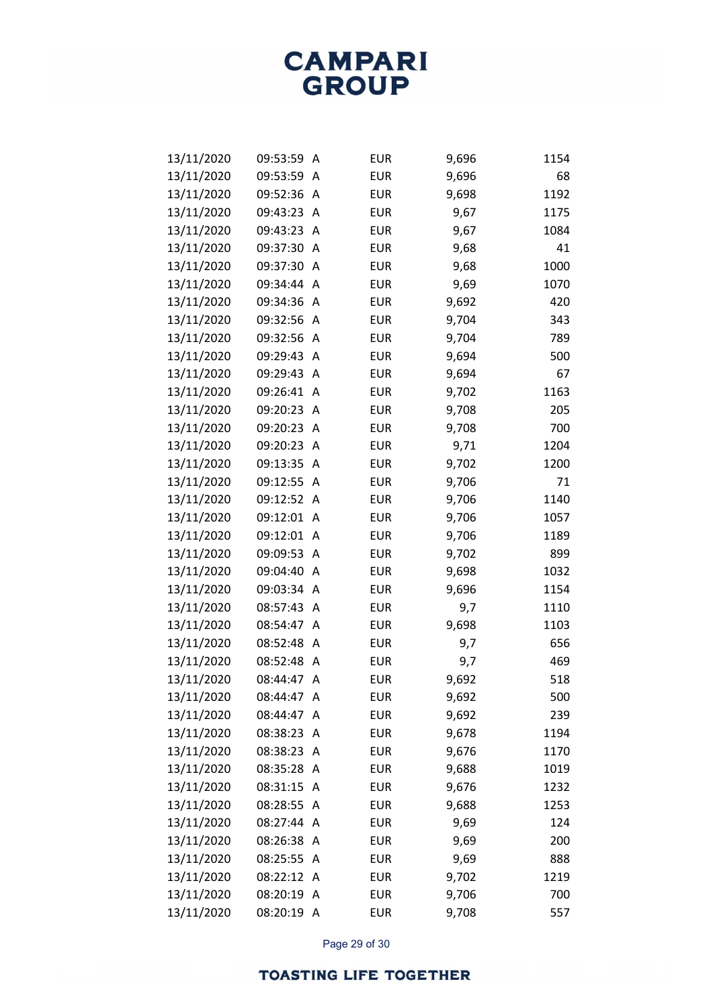| 13/11/2020 | 09:53:59 | Α              | <b>EUR</b> | 9,696 | 1154 |
|------------|----------|----------------|------------|-------|------|
| 13/11/2020 | 09:53:59 | Α              | <b>EUR</b> | 9,696 | 68   |
| 13/11/2020 | 09:52:36 | Α              | <b>EUR</b> | 9,698 | 1192 |
| 13/11/2020 | 09:43:23 | Α              | <b>EUR</b> | 9,67  | 1175 |
| 13/11/2020 | 09:43:23 | Α              | <b>EUR</b> | 9,67  | 1084 |
| 13/11/2020 | 09:37:30 | Α              | <b>EUR</b> | 9,68  | 41   |
| 13/11/2020 | 09:37:30 | Α              | <b>EUR</b> | 9,68  | 1000 |
| 13/11/2020 | 09:34:44 | Α              | <b>EUR</b> | 9,69  | 1070 |
| 13/11/2020 | 09:34:36 | Α              | <b>EUR</b> | 9,692 | 420  |
| 13/11/2020 | 09:32:56 | Α              | <b>EUR</b> | 9,704 | 343  |
| 13/11/2020 | 09:32:56 | Α              | <b>EUR</b> | 9,704 | 789  |
| 13/11/2020 | 09:29:43 | Α              | <b>EUR</b> | 9,694 | 500  |
| 13/11/2020 | 09:29:43 | Α              | <b>EUR</b> | 9,694 | 67   |
| 13/11/2020 | 09:26:41 | Α              | <b>EUR</b> | 9,702 | 1163 |
| 13/11/2020 | 09:20:23 | Α              | <b>EUR</b> | 9,708 | 205  |
| 13/11/2020 | 09:20:23 | Α              | <b>EUR</b> | 9,708 | 700  |
| 13/11/2020 | 09:20:23 | Α              | <b>EUR</b> | 9,71  | 1204 |
| 13/11/2020 | 09:13:35 | Α              | <b>EUR</b> | 9,702 | 1200 |
| 13/11/2020 | 09:12:55 | Α              | <b>EUR</b> | 9,706 | 71   |
| 13/11/2020 | 09:12:52 | Α              | <b>EUR</b> | 9,706 | 1140 |
| 13/11/2020 | 09:12:01 | A              | <b>EUR</b> | 9,706 | 1057 |
| 13/11/2020 | 09:12:01 | Α              | <b>EUR</b> | 9,706 | 1189 |
| 13/11/2020 | 09:09:53 | Α              | <b>EUR</b> | 9,702 | 899  |
| 13/11/2020 | 09:04:40 | Α              | <b>EUR</b> | 9,698 | 1032 |
| 13/11/2020 | 09:03:34 | Α              | <b>EUR</b> | 9,696 | 1154 |
| 13/11/2020 | 08:57:43 | Α              | <b>EUR</b> | 9,7   | 1110 |
| 13/11/2020 | 08:54:47 | Α              | <b>EUR</b> | 9,698 | 1103 |
| 13/11/2020 | 08:52:48 | Α              | <b>EUR</b> | 9,7   | 656  |
| 13/11/2020 | 08:52:48 | Α              | <b>EUR</b> | 9,7   | 469  |
| 13/11/2020 | 08:44:47 | Α              | <b>EUR</b> | 9,692 | 518  |
| 13/11/2020 | 08:44:47 | Α              | <b>EUR</b> | 9,692 | 500  |
| 13/11/2020 | 08:44:47 | A              | <b>EUR</b> | 9,692 | 239  |
| 13/11/2020 | 08:38:23 | Α              | <b>EUR</b> | 9,678 | 1194 |
| 13/11/2020 | 08:38:23 | Α              | <b>EUR</b> | 9,676 | 1170 |
| 13/11/2020 | 08:35:28 | A              | <b>EUR</b> | 9,688 | 1019 |
| 13/11/2020 | 08:31:15 | A              | <b>EUR</b> | 9,676 | 1232 |
| 13/11/2020 | 08:28:55 | A              | <b>EUR</b> | 9,688 | 1253 |
| 13/11/2020 | 08:27:44 | Α              | <b>EUR</b> | 9,69  | 124  |
| 13/11/2020 | 08:26:38 | A              | <b>EUR</b> | 9,69  | 200  |
| 13/11/2020 | 08:25:55 | A              | <b>EUR</b> | 9,69  | 888  |
| 13/11/2020 | 08:22:12 | A              | <b>EUR</b> | 9,702 | 1219 |
| 13/11/2020 | 08:20:19 | Α              | <b>EUR</b> | 9,706 | 700  |
| 13/11/2020 | 08:20:19 | $\overline{A}$ | <b>EUR</b> | 9,708 | 557  |

Page 29 of 30